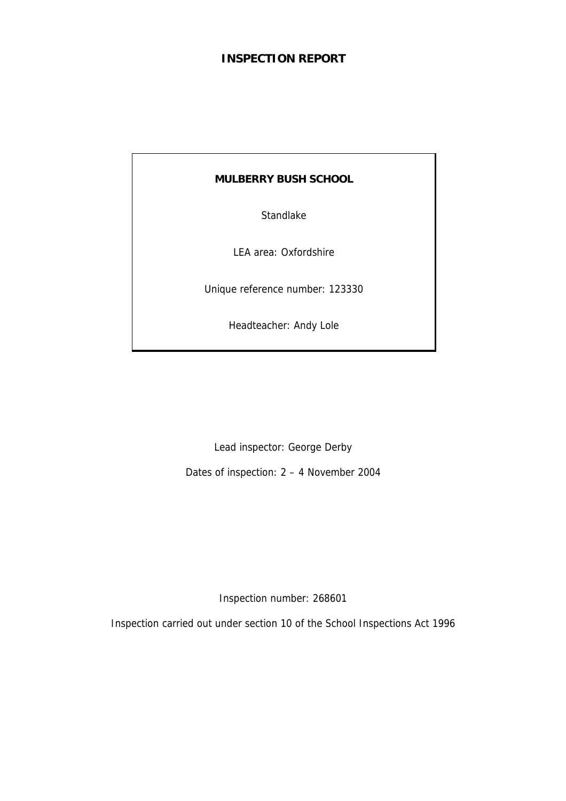# **INSPECTION REPORT**

# **MULBERRY BUSH SCHOOL**

Standlake

LEA area: Oxfordshire

Unique reference number: 123330

Headteacher: Andy Lole

Lead inspector: George Derby

Dates of inspection: 2 – 4 November 2004

Inspection number: 268601

Inspection carried out under section 10 of the School Inspections Act 1996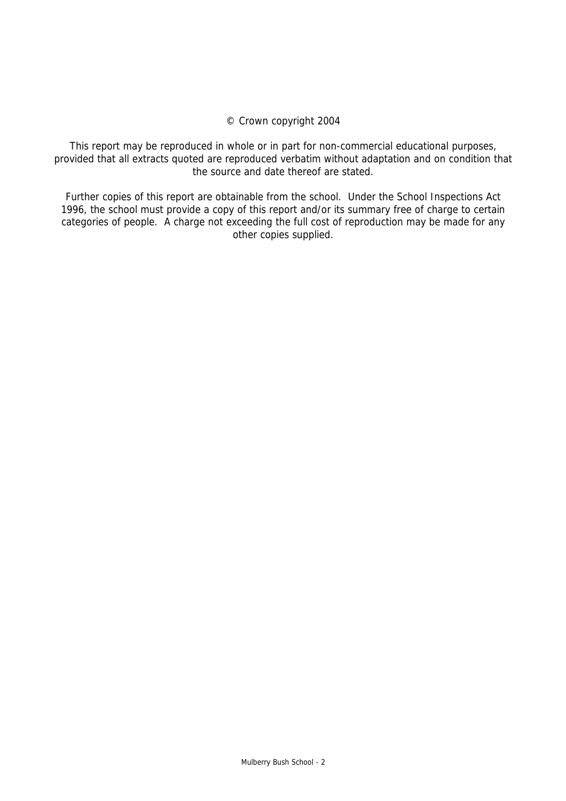# © Crown copyright 2004

This report may be reproduced in whole or in part for non-commercial educational purposes, provided that all extracts quoted are reproduced verbatim without adaptation and on condition that the source and date thereof are stated.

Further copies of this report are obtainable from the school. Under the School Inspections Act 1996, the school must provide a copy of this report and/or its summary free of charge to certain categories of people. A charge not exceeding the full cost of reproduction may be made for any other copies supplied.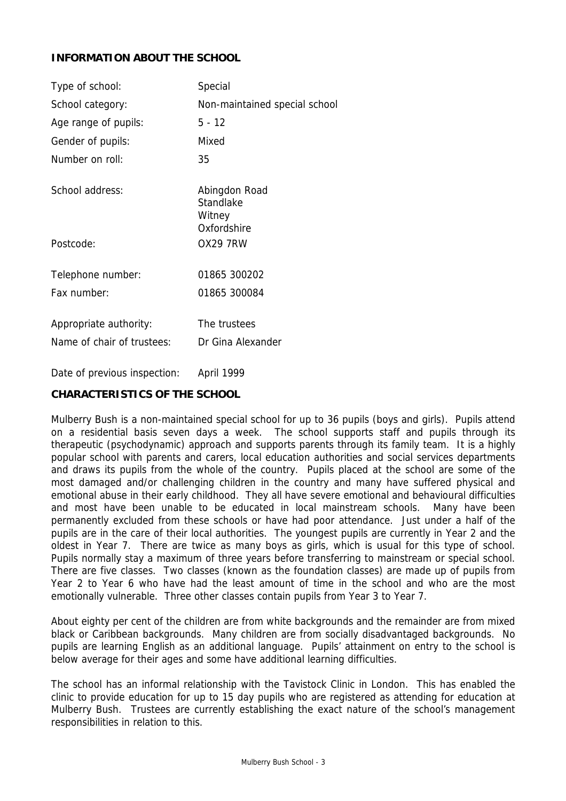# **INFORMATION ABOUT THE SCHOOL**

| Type of school:                                      | Special                              |
|------------------------------------------------------|--------------------------------------|
| School category:                                     | Non-maintained special school        |
| Age range of pupils:                                 | 5 - 12                               |
| Gender of pupils:                                    | Mixed                                |
| Number on roll:                                      | 35                                   |
| School address:                                      | Abingdon Road<br>Standlake<br>Witney |
| Postcode:                                            | Oxfordshire<br><b>OX29 7RW</b>       |
| Telephone number:                                    | 01865 300202                         |
| Fax number:                                          | 01865 300084                         |
| Appropriate authority:<br>Name of chair of trustees: | The trustees<br>Dr Gina Alexander    |

Date of previous inspection: April 1999

# **CHARACTERISTICS OF THE SCHOOL**

Mulberry Bush is a non-maintained special school for up to 36 pupils (boys and girls). Pupils attend on a residential basis seven days a week. The school supports staff and pupils through its therapeutic (psychodynamic) approach and supports parents through its family team. It is a highly popular school with parents and carers, local education authorities and social services departments and draws its pupils from the whole of the country. Pupils placed at the school are some of the most damaged and/or challenging children in the country and many have suffered physical and emotional abuse in their early childhood. They all have severe emotional and behavioural difficulties and most have been unable to be educated in local mainstream schools. Many have been permanently excluded from these schools or have had poor attendance. Just under a half of the pupils are in the care of their local authorities. The youngest pupils are currently in Year 2 and the oldest in Year 7. There are twice as many boys as girls, which is usual for this type of school. Pupils normally stay a maximum of three years before transferring to mainstream or special school. There are five classes. Two classes (known as the foundation classes) are made up of pupils from Year 2 to Year 6 who have had the least amount of time in the school and who are the most emotionally vulnerable. Three other classes contain pupils from Year 3 to Year 7.

About eighty per cent of the children are from white backgrounds and the remainder are from mixed black or Caribbean backgrounds. Many children are from socially disadvantaged backgrounds. No pupils are learning English as an additional language. Pupils' attainment on entry to the school is below average for their ages and some have additional learning difficulties.

The school has an informal relationship with the Tavistock Clinic in London. This has enabled the clinic to provide education for up to 15 day pupils who are registered as attending for education at Mulberry Bush. Trustees are currently establishing the exact nature of the school's management responsibilities in relation to this.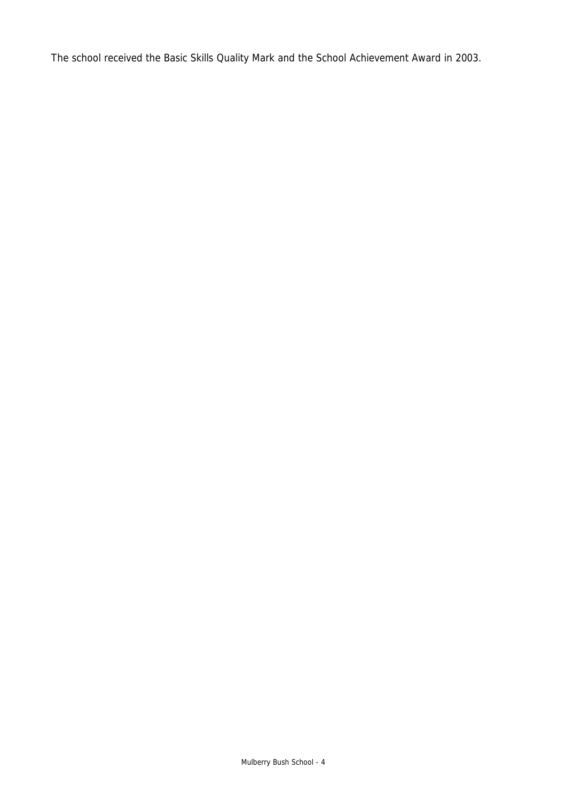The school received the Basic Skills Quality Mark and the School Achievement Award in 2003.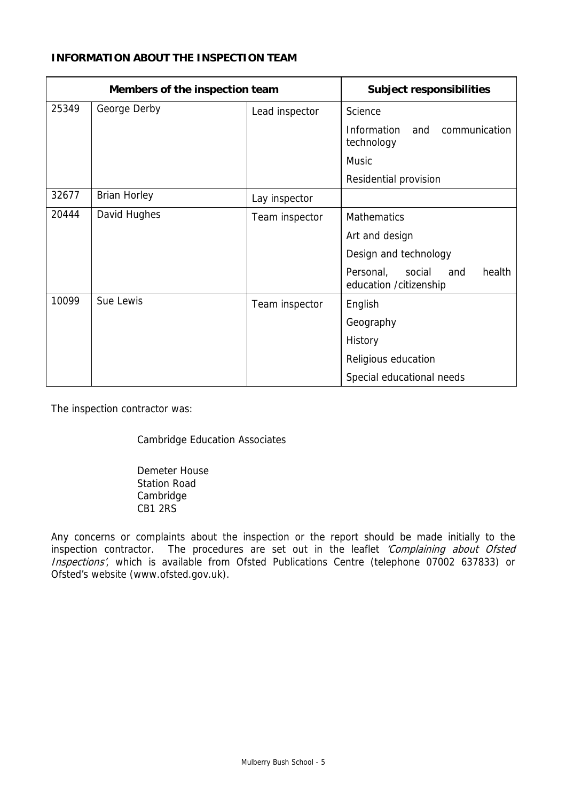# **INFORMATION ABOUT THE INSPECTION TEAM**

| Members of the inspection team |                     | <b>Subject responsibilities</b> |                                                                 |  |
|--------------------------------|---------------------|---------------------------------|-----------------------------------------------------------------|--|
| 25349                          | George Derby        | Lead inspector                  | Science                                                         |  |
|                                |                     |                                 | Information<br>and<br>communication<br>technology               |  |
|                                |                     |                                 | <b>Music</b>                                                    |  |
|                                |                     |                                 | Residential provision                                           |  |
| 32677                          | <b>Brian Horley</b> | Lay inspector                   |                                                                 |  |
| 20444                          | David Hughes        | Team inspector                  | <b>Mathematics</b>                                              |  |
|                                |                     |                                 | Art and design                                                  |  |
|                                |                     |                                 | Design and technology                                           |  |
|                                |                     |                                 | health<br>Personal,<br>social<br>and<br>education / citizenship |  |
| 10099                          | Sue Lewis           | Team inspector                  | English                                                         |  |
|                                |                     |                                 | Geography                                                       |  |
|                                |                     |                                 | History                                                         |  |
|                                |                     |                                 | Religious education                                             |  |
|                                |                     |                                 | Special educational needs                                       |  |

The inspection contractor was:

Cambridge Education Associates

 Demeter House Station Road Cambridge CB1 2RS

Any concerns or complaints about the inspection or the report should be made initially to the inspection contractor. The procedures are set out in the leaflet 'Complaining about Ofsted Inspections', which is available from Ofsted Publications Centre (telephone 07002 637833) or Ofsted's website (www.ofsted.gov.uk).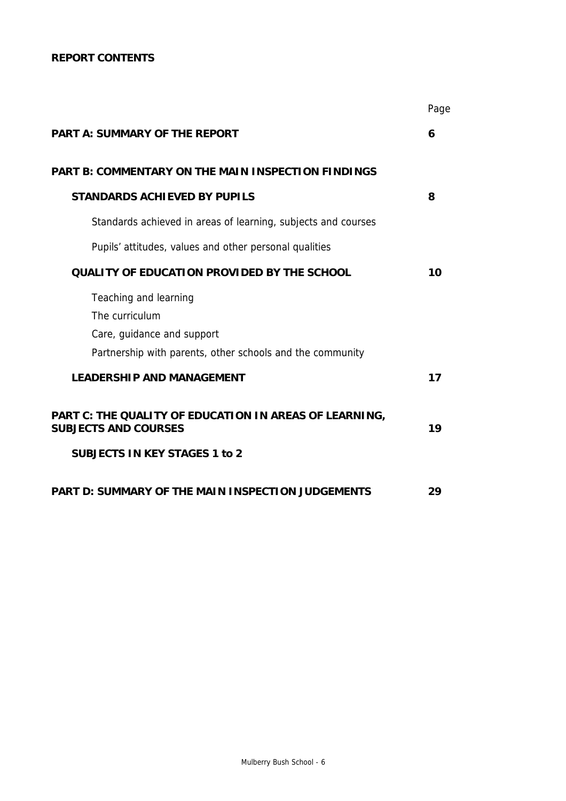# **REPORT CONTENTS**

|                                                                                       | Page |
|---------------------------------------------------------------------------------------|------|
| <b>PART A: SUMMARY OF THE REPORT</b>                                                  | 6    |
| <b>PART B: COMMENTARY ON THE MAIN INSPECTION FINDINGS</b>                             |      |
| <b>STANDARDS ACHIEVED BY PUPILS</b>                                                   | 8    |
| Standards achieved in areas of learning, subjects and courses                         |      |
| Pupils' attitudes, values and other personal qualities                                |      |
| <b>QUALITY OF EDUCATION PROVIDED BY THE SCHOOL</b>                                    | 10   |
| Teaching and learning                                                                 |      |
| The curriculum                                                                        |      |
| Care, guidance and support                                                            |      |
| Partnership with parents, other schools and the community                             |      |
| <b>LEADERSHIP AND MANAGEMENT</b>                                                      | 17   |
| PART C: THE QUALITY OF EDUCATION IN AREAS OF LEARNING,<br><b>SUBJECTS AND COURSES</b> | 19   |
| <b>SUBJECTS IN KEY STAGES 1 to 2</b>                                                  |      |
| <b>PART D: SUMMARY OF THE MAIN INSPECTION JUDGEMENTS</b>                              | 29   |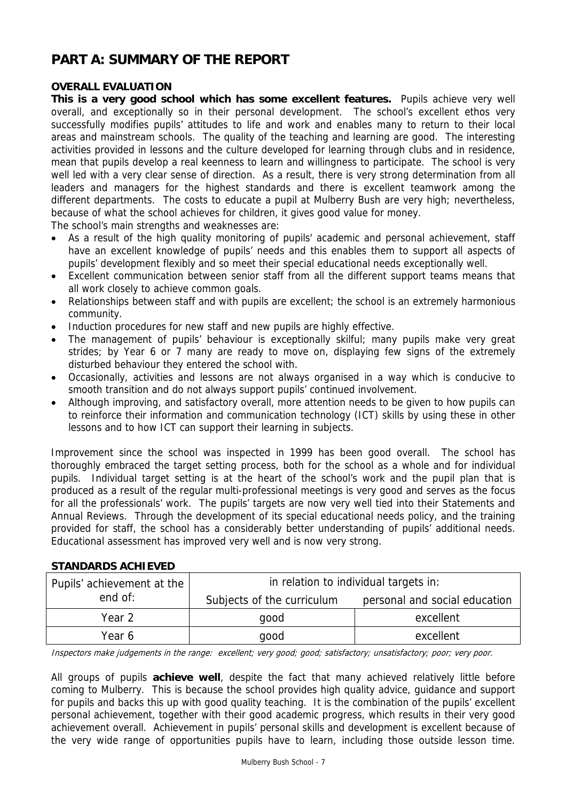# **PART A: SUMMARY OF THE REPORT**

# **OVERALL EVALUATION**

**This is a very good school which has some excellent features.** Pupils achieve very well overall, and exceptionally so in their personal development. The school's excellent ethos very successfully modifies pupils' attitudes to life and work and enables many to return to their local areas and mainstream schools. The quality of the teaching and learning are good. The interesting activities provided in lessons and the culture developed for learning through clubs and in residence, mean that pupils develop a real keenness to learn and willingness to participate. The school is very well led with a very clear sense of direction. As a result, there is very strong determination from all leaders and managers for the highest standards and there is excellent teamwork among the different departments. The costs to educate a pupil at Mulberry Bush are very high; nevertheless, because of what the school achieves for children, it gives good value for money.

The school's main strengths and weaknesses are:

- As a result of the high quality monitoring of pupils' academic and personal achievement, staff have an excellent knowledge of pupils' needs and this enables them to support all aspects of pupils' development flexibly and so meet their special educational needs exceptionally well.
- Excellent communication between senior staff from all the different support teams means that all work closely to achieve common goals.
- Relationships between staff and with pupils are excellent; the school is an extremely harmonious community.
- Induction procedures for new staff and new pupils are highly effective.
- The management of pupils' behaviour is exceptionally skilful; many pupils make very great strides; by Year 6 or 7 many are ready to move on, displaying few signs of the extremely disturbed behaviour they entered the school with.
- Occasionally, activities and lessons are not always organised in a way which is conducive to smooth transition and do not always support pupils' continued involvement.
- Although improving, and satisfactory overall, more attention needs to be given to how pupils can to reinforce their information and communication technology (ICT) skills by using these in other lessons and to how ICT can support their learning in subjects.

Improvement since the school was inspected in 1999 has been good overall. The school has thoroughly embraced the target setting process, both for the school as a whole and for individual pupils. Individual target setting is at the heart of the school's work and the pupil plan that is produced as a result of the regular multi-professional meetings is very good and serves as the focus for all the professionals' work. The pupils' targets are now very well tied into their Statements and Annual Reviews. Through the development of its special educational needs policy, and the training provided for staff, the school has a considerably better understanding of pupils' additional needs. Educational assessment has improved very well and is now very strong.

# Pupils' achievement at the  $\vert$  in relation to individual targets in: end of:  $\vert$  Subjects of the curriculum personal and social education Year 2 and 2 good contract the search of the search excellent

# **STANDARDS ACHIEVED**

Inspectors make judgements in the range: excellent; very good; good; satisfactory; unsatisfactory; poor; very poor.

Year 6 and the good contract of the excellent

All groups of pupils **achieve well**, despite the fact that many achieved relatively little before coming to Mulberry. This is because the school provides high quality advice, guidance and support for pupils and backs this up with good quality teaching. It is the combination of the pupils' excellent personal achievement, together with their good academic progress, which results in their very good achievement overall. Achievement in pupils' personal skills and development is excellent because of the very wide range of opportunities pupils have to learn, including those outside lesson time.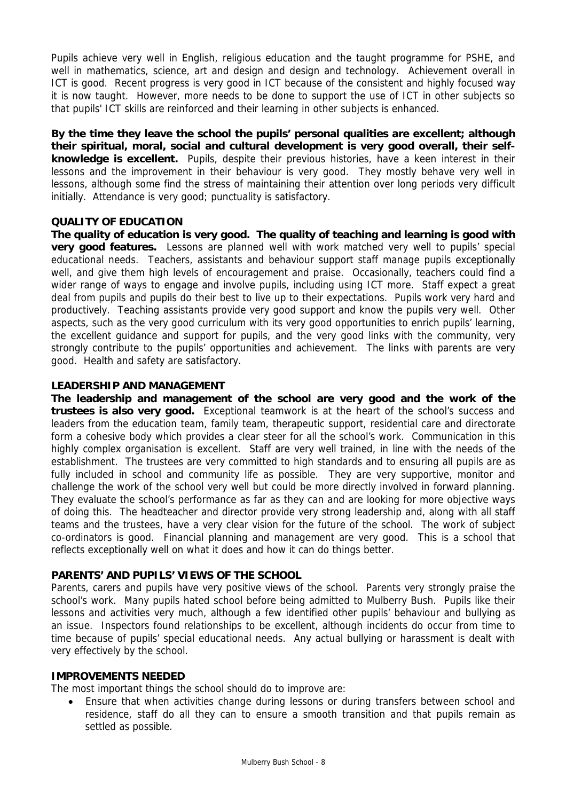Pupils achieve very well in English, religious education and the taught programme for PSHE, and well in mathematics, science, art and design and design and technology. Achievement overall in ICT is good. Recent progress is very good in ICT because of the consistent and highly focused way it is now taught. However, more needs to be done to support the use of ICT in other subjects so that pupils' ICT skills are reinforced and their learning in other subjects is enhanced.

**By the time they leave the school the pupils' personal qualities are excellent; although their spiritual, moral, social and cultural development is very good overall, their selfknowledge is excellent.** Pupils, despite their previous histories, have a keen interest in their lessons and the improvement in their behaviour is very good. They mostly behave very well in lessons, although some find the stress of maintaining their attention over long periods very difficult initially. Attendance is very good; punctuality is satisfactory.

## **QUALITY OF EDUCATION**

**The quality of education is very good. The quality of teaching and learning is good with very good features.** Lessons are planned well with work matched very well to pupils' special educational needs. Teachers, assistants and behaviour support staff manage pupils exceptionally well, and give them high levels of encouragement and praise. Occasionally, teachers could find a wider range of ways to engage and involve pupils, including using ICT more. Staff expect a great deal from pupils and pupils do their best to live up to their expectations. Pupils work very hard and productively. Teaching assistants provide very good support and know the pupils very well. Other aspects, such as the very good curriculum with its very good opportunities to enrich pupils' learning, the excellent guidance and support for pupils, and the very good links with the community, very strongly contribute to the pupils' opportunities and achievement. The links with parents are very good. Health and safety are satisfactory.

## **LEADERSHIP AND MANAGEMENT**

**The leadership and management of the school are very good and the work of the trustees is also very good.** Exceptional teamwork is at the heart of the school's success and leaders from the education team, family team, therapeutic support, residential care and directorate form a cohesive body which provides a clear steer for all the school's work. Communication in this highly complex organisation is excellent. Staff are very well trained, in line with the needs of the establishment. The trustees are very committed to high standards and to ensuring all pupils are as fully included in school and community life as possible. They are very supportive, monitor and challenge the work of the school very well but could be more directly involved in forward planning. They evaluate the school's performance as far as they can and are looking for more objective ways of doing this. The headteacher and director provide very strong leadership and, along with all staff teams and the trustees, have a very clear vision for the future of the school. The work of subject co-ordinators is good. Financial planning and management are very good. This is a school that reflects exceptionally well on what it does and how it can do things better.

## **PARENTS' AND PUPILS' VIEWS OF THE SCHOOL**

Parents, carers and pupils have very positive views of the school. Parents very strongly praise the school's work. Many pupils hated school before being admitted to Mulberry Bush. Pupils like their lessons and activities very much, although a few identified other pupils' behaviour and bullying as an issue. Inspectors found relationships to be excellent, although incidents do occur from time to time because of pupils' special educational needs. Any actual bullying or harassment is dealt with very effectively by the school.

#### **IMPROVEMENTS NEEDED**

The most important things the school should do to improve are:

• Ensure that when activities change during lessons or during transfers between school and residence, staff do all they can to ensure a smooth transition and that pupils remain as settled as possible.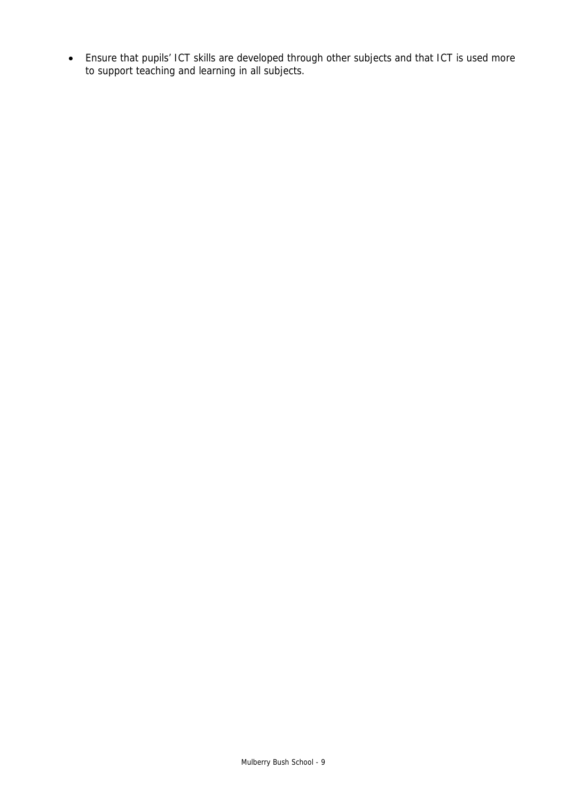• Ensure that pupils' ICT skills are developed through other subjects and that ICT is used more to support teaching and learning in all subjects.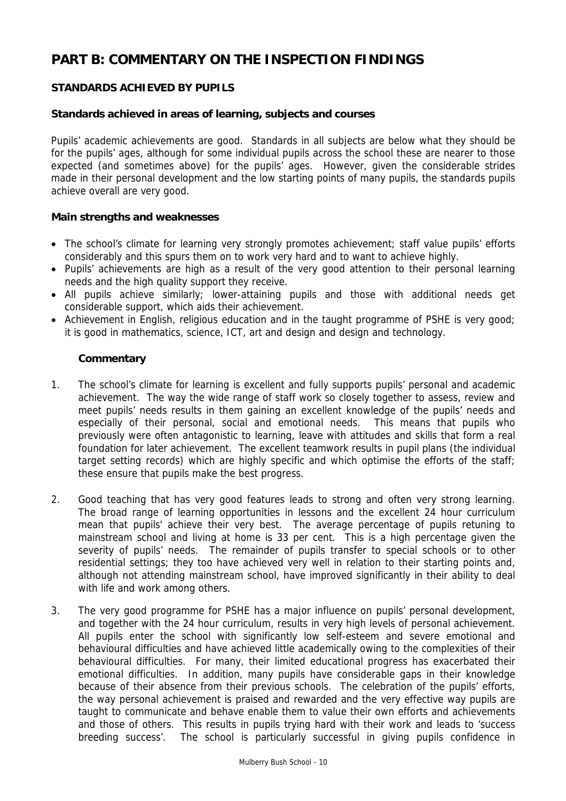# **PART B: COMMENTARY ON THE INSPECTION FINDINGS**

# **STANDARDS ACHIEVED BY PUPILS**

# **Standards achieved in areas of learning, subjects and courses**

Pupils' academic achievements are good. Standards in all subjects are below what they should be for the pupils' ages, although for some individual pupils across the school these are nearer to those expected (and sometimes above) for the pupils' ages. However, given the considerable strides made in their personal development and the low starting points of many pupils, the standards pupils achieve overall are very good.

## **Main strengths and weaknesses**

- The school's climate for learning very strongly promotes achievement; staff value pupils' efforts considerably and this spurs them on to work very hard and to want to achieve highly.
- Pupils' achievements are high as a result of the very good attention to their personal learning needs and the high quality support they receive.
- All pupils achieve similarly; lower-attaining pupils and those with additional needs get considerable support, which aids their achievement.
- Achievement in English, religious education and in the taught programme of PSHE is very good; it is good in mathematics, science, ICT, art and design and design and technology.

- 1. The school's climate for learning is excellent and fully supports pupils' personal and academic achievement. The way the wide range of staff work so closely together to assess, review and meet pupils' needs results in them gaining an excellent knowledge of the pupils' needs and especially of their personal, social and emotional needs. This means that pupils who previously were often antagonistic to learning, leave with attitudes and skills that form a real foundation for later achievement. The excellent teamwork results in pupil plans (the individual target setting records) which are highly specific and which optimise the efforts of the staff; these ensure that pupils make the best progress.
- 2. Good teaching that has very good features leads to strong and often very strong learning. The broad range of learning opportunities in lessons and the excellent 24 hour curriculum mean that pupils' achieve their very best. The average percentage of pupils retuning to mainstream school and living at home is 33 per cent. This is a high percentage given the severity of pupils' needs. The remainder of pupils transfer to special schools or to other residential settings; they too have achieved very well in relation to their starting points and, although not attending mainstream school, have improved significantly in their ability to deal with life and work among others.
- 3. The very good programme for PSHE has a major influence on pupils' personal development, and together with the 24 hour curriculum, results in very high levels of personal achievement. All pupils enter the school with significantly low self-esteem and severe emotional and behavioural difficulties and have achieved little academically owing to the complexities of their behavioural difficulties. For many, their limited educational progress has exacerbated their emotional difficulties. In addition, many pupils have considerable gaps in their knowledge because of their absence from their previous schools. The celebration of the pupils' efforts, the way personal achievement is praised and rewarded and the very effective way pupils are taught to communicate and behave enable them to value their own efforts and achievements and those of others. This results in pupils trying hard with their work and leads to 'success breeding success'. The school is particularly successful in giving pupils confidence in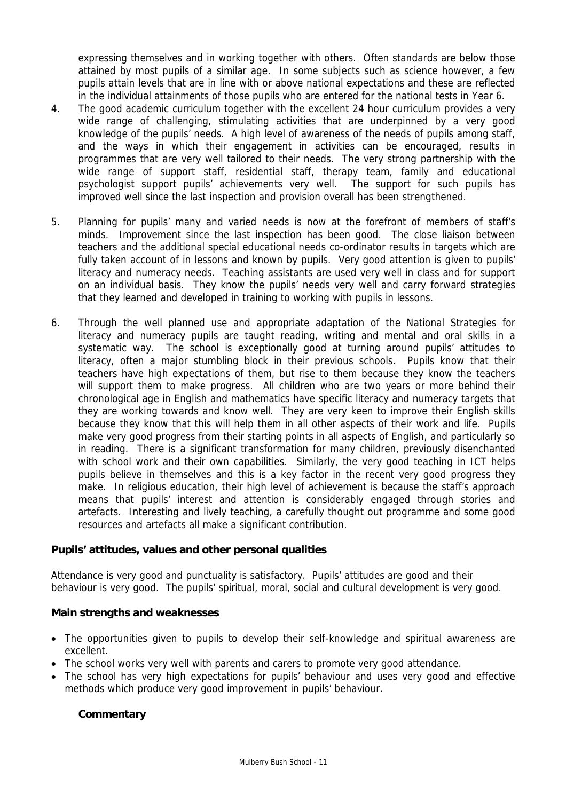expressing themselves and in working together with others. Often standards are below those attained by most pupils of a similar age. In some subjects such as science however, a few pupils attain levels that are in line with or above national expectations and these are reflected in the individual attainments of those pupils who are entered for the national tests in Year 6.

- 4. The good academic curriculum together with the excellent 24 hour curriculum provides a very wide range of challenging, stimulating activities that are underpinned by a very good knowledge of the pupils' needs. A high level of awareness of the needs of pupils among staff, and the ways in which their engagement in activities can be encouraged, results in programmes that are very well tailored to their needs. The very strong partnership with the wide range of support staff, residential staff, therapy team, family and educational psychologist support pupils' achievements very well. The support for such pupils has improved well since the last inspection and provision overall has been strengthened.
- 5. Planning for pupils' many and varied needs is now at the forefront of members of staff's minds. Improvement since the last inspection has been good. The close liaison between teachers and the additional special educational needs co-ordinator results in targets which are fully taken account of in lessons and known by pupils. Very good attention is given to pupils' literacy and numeracy needs. Teaching assistants are used very well in class and for support on an individual basis. They know the pupils' needs very well and carry forward strategies that they learned and developed in training to working with pupils in lessons.
- 6. Through the well planned use and appropriate adaptation of the National Strategies for literacy and numeracy pupils are taught reading, writing and mental and oral skills in a systematic way. The school is exceptionally good at turning around pupils' attitudes to literacy, often a major stumbling block in their previous schools. Pupils know that their teachers have high expectations of them, but rise to them because they know the teachers will support them to make progress. All children who are two years or more behind their chronological age in English and mathematics have specific literacy and numeracy targets that they are working towards and know well. They are very keen to improve their English skills because they know that this will help them in all other aspects of their work and life. Pupils make very good progress from their starting points in all aspects of English, and particularly so in reading. There is a significant transformation for many children, previously disenchanted with school work and their own capabilities. Similarly, the very good teaching in ICT helps pupils believe in themselves and this is a key factor in the recent very good progress they make. In religious education, their high level of achievement is because the staff's approach means that pupils' interest and attention is considerably engaged through stories and artefacts. Interesting and lively teaching, a carefully thought out programme and some good resources and artefacts all make a significant contribution.

## **Pupils' attitudes, values and other personal qualities**

Attendance is very good and punctuality is satisfactory. Pupils' attitudes are good and their behaviour is very good. The pupils' spiritual, moral, social and cultural development is very good.

## **Main strengths and weaknesses**

- The opportunities given to pupils to develop their self-knowledge and spiritual awareness are excellent.
- The school works very well with parents and carers to promote very good attendance.
- The school has very high expectations for pupils' behaviour and uses very good and effective methods which produce very good improvement in pupils' behaviour.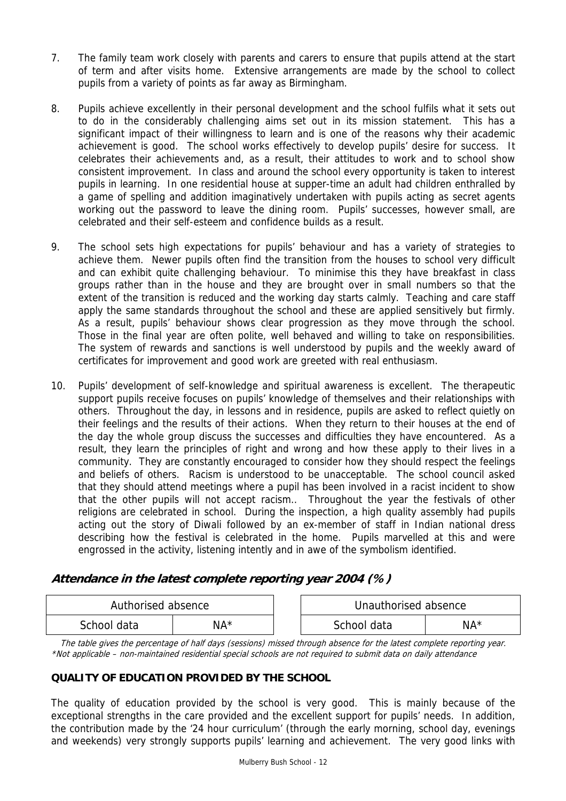- 7. The family team work closely with parents and carers to ensure that pupils attend at the start of term and after visits home. Extensive arrangements are made by the school to collect pupils from a variety of points as far away as Birmingham.
- 8. Pupils achieve excellently in their personal development and the school fulfils what it sets out to do in the considerably challenging aims set out in its mission statement. This has a significant impact of their willingness to learn and is one of the reasons why their academic achievement is good. The school works effectively to develop pupils' desire for success. It celebrates their achievements and, as a result, their attitudes to work and to school show consistent improvement. In class and around the school every opportunity is taken to interest pupils in learning. In one residential house at supper-time an adult had children enthralled by a game of spelling and addition imaginatively undertaken with pupils acting as secret agents working out the password to leave the dining room. Pupils' successes, however small, are celebrated and their self-esteem and confidence builds as a result.
- 9. The school sets high expectations for pupils' behaviour and has a variety of strategies to achieve them. Newer pupils often find the transition from the houses to school very difficult and can exhibit quite challenging behaviour. To minimise this they have breakfast in class groups rather than in the house and they are brought over in small numbers so that the extent of the transition is reduced and the working day starts calmly. Teaching and care staff apply the same standards throughout the school and these are applied sensitively but firmly. As a result, pupils' behaviour shows clear progression as they move through the school. Those in the final year are often polite, well behaved and willing to take on responsibilities. The system of rewards and sanctions is well understood by pupils and the weekly award of certificates for improvement and good work are greeted with real enthusiasm.
- 10. Pupils' development of self-knowledge and spiritual awareness is excellent. The therapeutic support pupils receive focuses on pupils' knowledge of themselves and their relationships with others. Throughout the day, in lessons and in residence, pupils are asked to reflect quietly on their feelings and the results of their actions. When they return to their houses at the end of the day the whole group discuss the successes and difficulties they have encountered. As a result, they learn the principles of right and wrong and how these apply to their lives in a community. They are constantly encouraged to consider how they should respect the feelings and beliefs of others. Racism is understood to be unacceptable. The school council asked that they should attend meetings where a pupil has been involved in a racist incident to show that the other pupils will not accept racism.. Throughout the year the festivals of other religions are celebrated in school. During the inspection, a high quality assembly had pupils acting out the story of Diwali followed by an ex-member of staff in Indian national dress describing how the festival is celebrated in the home. Pupils marvelled at this and were engrossed in the activity, listening intently and in awe of the symbolism identified.

# **Attendance in the latest complete reporting year 2004 (%)**

| Authorised absence |     | Unauthorised absence |        |
|--------------------|-----|----------------------|--------|
| School data        | NA* | School data          | $NA^*$ |

The table gives the percentage of half days (sessions) missed through absence for the latest complete reporting year. \*Not applicable – non-maintained residential special schools are not required to submit data on daily attendance

# **QUALITY OF EDUCATION PROVIDED BY THE SCHOOL**

The quality of education provided by the school is very good. This is mainly because of the exceptional strengths in the care provided and the excellent support for pupils' needs. In addition, the contribution made by the '24 hour curriculum' (through the early morning, school day, evenings and weekends) very strongly supports pupils' learning and achievement. The very good links with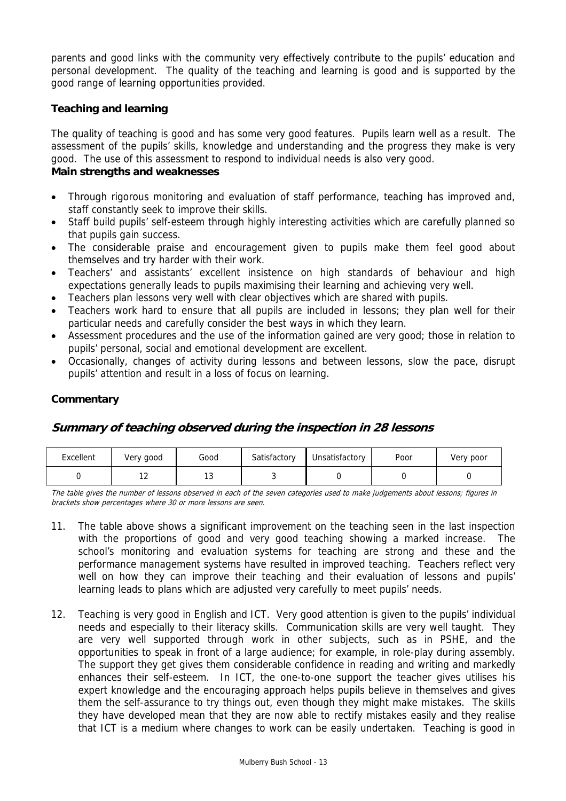parents and good links with the community very effectively contribute to the pupils' education and personal development. The quality of the teaching and learning is good and is supported by the good range of learning opportunities provided.

# **Teaching and learning**

The quality of teaching is good and has some very good features. Pupils learn well as a result. The assessment of the pupils' skills, knowledge and understanding and the progress they make is very good. The use of this assessment to respond to individual needs is also very good.

# **Main strengths and weaknesses**

- Through rigorous monitoring and evaluation of staff performance, teaching has improved and, staff constantly seek to improve their skills.
- Staff build pupils' self-esteem through highly interesting activities which are carefully planned so that pupils gain success.
- The considerable praise and encouragement given to pupils make them feel good about themselves and try harder with their work.
- Teachers' and assistants' excellent insistence on high standards of behaviour and high expectations generally leads to pupils maximising their learning and achieving very well.
- Teachers plan lessons very well with clear objectives which are shared with pupils.
- Teachers work hard to ensure that all pupils are included in lessons; they plan well for their particular needs and carefully consider the best ways in which they learn.
- Assessment procedures and the use of the information gained are very good; those in relation to pupils' personal, social and emotional development are excellent.
- Occasionally, changes of activity during lessons and between lessons, slow the pace, disrupt pupils' attention and result in a loss of focus on learning.

# **Commentary**

# **Summary of teaching observed during the inspection in 28 lessons**

| Excellent | Very good | Good | Satisfactory | Unsatisfactory | Poor | Very poor |
|-----------|-----------|------|--------------|----------------|------|-----------|
|           | . .       |      |              |                |      |           |

The table gives the number of lessons observed in each of the seven categories used to make judgements about lessons; figures in brackets show percentages where 30 or more lessons are seen.

- 11. The table above shows a significant improvement on the teaching seen in the last inspection with the proportions of good and very good teaching showing a marked increase. The school's monitoring and evaluation systems for teaching are strong and these and the performance management systems have resulted in improved teaching. Teachers reflect very well on how they can improve their teaching and their evaluation of lessons and pupils' learning leads to plans which are adjusted very carefully to meet pupils' needs.
- 12. Teaching is very good in English and ICT. Very good attention is given to the pupils' individual needs and especially to their literacy skills. Communication skills are very well taught. They are very well supported through work in other subjects, such as in PSHE, and the opportunities to speak in front of a large audience; for example, in role-play during assembly. The support they get gives them considerable confidence in reading and writing and markedly enhances their self-esteem. In ICT, the one-to-one support the teacher gives utilises his expert knowledge and the encouraging approach helps pupils believe in themselves and gives them the self-assurance to try things out, even though they might make mistakes. The skills they have developed mean that they are now able to rectify mistakes easily and they realise that ICT is a medium where changes to work can be easily undertaken. Teaching is good in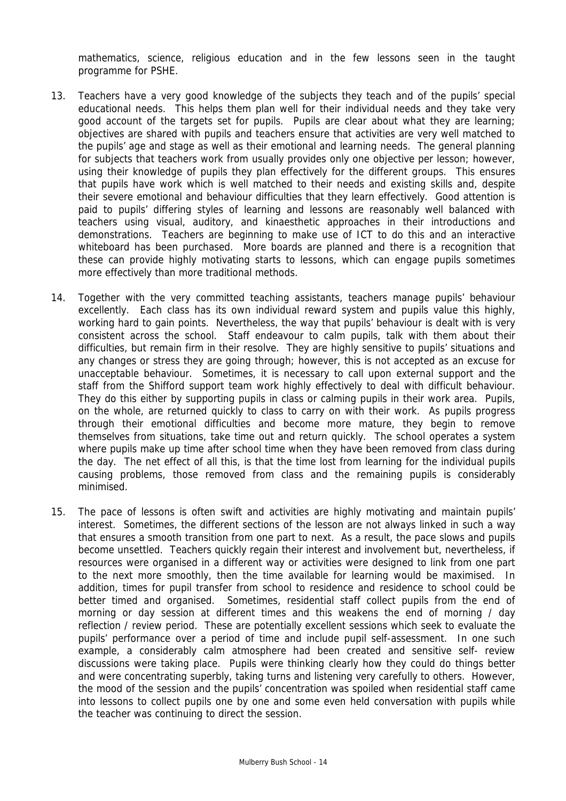mathematics, science, religious education and in the few lessons seen in the taught programme for PSHE.

- 13. Teachers have a very good knowledge of the subjects they teach and of the pupils' special educational needs. This helps them plan well for their individual needs and they take very good account of the targets set for pupils. Pupils are clear about what they are learning; objectives are shared with pupils and teachers ensure that activities are very well matched to the pupils' age and stage as well as their emotional and learning needs. The general planning for subjects that teachers work from usually provides only one objective per lesson; however, using their knowledge of pupils they plan effectively for the different groups. This ensures that pupils have work which is well matched to their needs and existing skills and, despite their severe emotional and behaviour difficulties that they learn effectively. Good attention is paid to pupils' differing styles of learning and lessons are reasonably well balanced with teachers using visual, auditory, and kinaesthetic approaches in their introductions and demonstrations. Teachers are beginning to make use of ICT to do this and an interactive whiteboard has been purchased. More boards are planned and there is a recognition that these can provide highly motivating starts to lessons, which can engage pupils sometimes more effectively than more traditional methods.
- 14. Together with the very committed teaching assistants, teachers manage pupils' behaviour excellently. Each class has its own individual reward system and pupils value this highly, working hard to gain points. Nevertheless, the way that pupils' behaviour is dealt with is very consistent across the school. Staff endeavour to calm pupils, talk with them about their difficulties, but remain firm in their resolve. They are highly sensitive to pupils' situations and any changes or stress they are going through; however, this is not accepted as an excuse for unacceptable behaviour. Sometimes, it is necessary to call upon external support and the staff from the Shifford support team work highly effectively to deal with difficult behaviour. They do this either by supporting pupils in class or calming pupils in their work area. Pupils, on the whole, are returned quickly to class to carry on with their work. As pupils progress through their emotional difficulties and become more mature, they begin to remove themselves from situations, take time out and return quickly. The school operates a system where pupils make up time after school time when they have been removed from class during the day. The net effect of all this, is that the time lost from learning for the individual pupils causing problems, those removed from class and the remaining pupils is considerably minimised.
- 15. The pace of lessons is often swift and activities are highly motivating and maintain pupils' interest. Sometimes, the different sections of the lesson are not always linked in such a way that ensures a smooth transition from one part to next. As a result, the pace slows and pupils become unsettled. Teachers quickly regain their interest and involvement but, nevertheless, if resources were organised in a different way or activities were designed to link from one part to the next more smoothly, then the time available for learning would be maximised. In addition, times for pupil transfer from school to residence and residence to school could be better timed and organised. Sometimes, residential staff collect pupils from the end of morning or day session at different times and this weakens the end of morning / day reflection / review period. These are potentially excellent sessions which seek to evaluate the pupils' performance over a period of time and include pupil self-assessment. In one such example, a considerably calm atmosphere had been created and sensitive self- review discussions were taking place. Pupils were thinking clearly how they could do things better and were concentrating superbly, taking turns and listening very carefully to others. However, the mood of the session and the pupils' concentration was spoiled when residential staff came into lessons to collect pupils one by one and some even held conversation with pupils while the teacher was continuing to direct the session.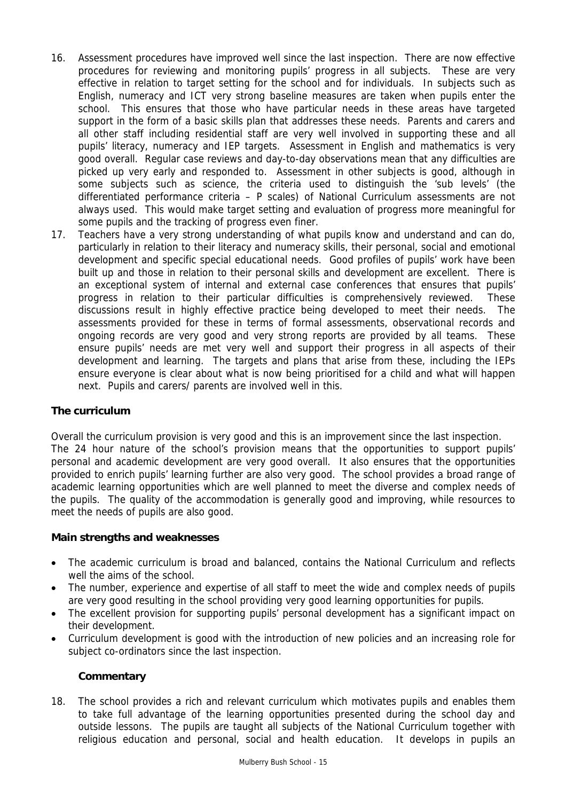- 16. Assessment procedures have improved well since the last inspection. There are now effective procedures for reviewing and monitoring pupils' progress in all subjects. These are very effective in relation to target setting for the school and for individuals. In subjects such as English, numeracy and ICT very strong baseline measures are taken when pupils enter the school. This ensures that those who have particular needs in these areas have targeted support in the form of a basic skills plan that addresses these needs. Parents and carers and all other staff including residential staff are very well involved in supporting these and all pupils' literacy, numeracy and IEP targets. Assessment in English and mathematics is very good overall. Regular case reviews and day-to-day observations mean that any difficulties are picked up very early and responded to. Assessment in other subjects is good, although in some subjects such as science, the criteria used to distinguish the 'sub levels' (the differentiated performance criteria – P scales) of National Curriculum assessments are not always used. This would make target setting and evaluation of progress more meaningful for some pupils and the tracking of progress even finer.
- 17. Teachers have a very strong understanding of what pupils know and understand and can do, particularly in relation to their literacy and numeracy skills, their personal, social and emotional development and specific special educational needs. Good profiles of pupils' work have been built up and those in relation to their personal skills and development are excellent. There is an exceptional system of internal and external case conferences that ensures that pupils' progress in relation to their particular difficulties is comprehensively reviewed. These discussions result in highly effective practice being developed to meet their needs. The assessments provided for these in terms of formal assessments, observational records and ongoing records are very good and very strong reports are provided by all teams. These ensure pupils' needs are met very well and support their progress in all aspects of their development and learning. The targets and plans that arise from these, including the IEPs ensure everyone is clear about what is now being prioritised for a child and what will happen next. Pupils and carers/ parents are involved well in this.

# **The curriculum**

Overall the curriculum provision is very good and this is an improvement since the last inspection. The 24 hour nature of the school's provision means that the opportunities to support pupils' personal and academic development are very good overall. It also ensures that the opportunities provided to enrich pupils' learning further are also very good. The school provides a broad range of academic learning opportunities which are well planned to meet the diverse and complex needs of the pupils. The quality of the accommodation is generally good and improving, while resources to meet the needs of pupils are also good.

## **Main strengths and weaknesses**

- The academic curriculum is broad and balanced, contains the National Curriculum and reflects well the aims of the school.
- The number, experience and expertise of all staff to meet the wide and complex needs of pupils are very good resulting in the school providing very good learning opportunities for pupils.
- The excellent provision for supporting pupils' personal development has a significant impact on their development.
- Curriculum development is good with the introduction of new policies and an increasing role for subject co-ordinators since the last inspection.

# **Commentary**

18. The school provides a rich and relevant curriculum which motivates pupils and enables them to take full advantage of the learning opportunities presented during the school day and outside lessons. The pupils are taught all subjects of the National Curriculum together with religious education and personal, social and health education. It develops in pupils an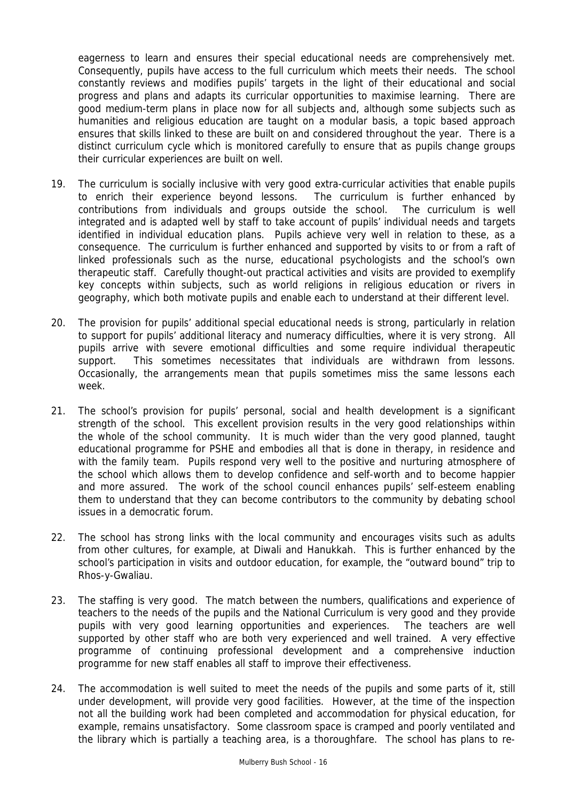eagerness to learn and ensures their special educational needs are comprehensively met. Consequently, pupils have access to the full curriculum which meets their needs. The school constantly reviews and modifies pupils' targets in the light of their educational and social progress and plans and adapts its curricular opportunities to maximise learning. There are good medium-term plans in place now for all subjects and, although some subjects such as humanities and religious education are taught on a modular basis, a topic based approach ensures that skills linked to these are built on and considered throughout the year. There is a distinct curriculum cycle which is monitored carefully to ensure that as pupils change groups their curricular experiences are built on well.

- 19. The curriculum is socially inclusive with very good extra-curricular activities that enable pupils to enrich their experience beyond lessons. The curriculum is further enhanced by contributions from individuals and groups outside the school. The curriculum is well integrated and is adapted well by staff to take account of pupils' individual needs and targets identified in individual education plans. Pupils achieve very well in relation to these, as a consequence. The curriculum is further enhanced and supported by visits to or from a raft of linked professionals such as the nurse, educational psychologists and the school's own therapeutic staff. Carefully thought-out practical activities and visits are provided to exemplify key concepts within subjects, such as world religions in religious education or rivers in geography, which both motivate pupils and enable each to understand at their different level.
- 20. The provision for pupils' additional special educational needs is strong, particularly in relation to support for pupils' additional literacy and numeracy difficulties, where it is very strong. All pupils arrive with severe emotional difficulties and some require individual therapeutic support. This sometimes necessitates that individuals are withdrawn from lessons. Occasionally, the arrangements mean that pupils sometimes miss the same lessons each week.
- 21. The school's provision for pupils' personal, social and health development is a significant strength of the school. This excellent provision results in the very good relationships within the whole of the school community. It is much wider than the very good planned, taught educational programme for PSHE and embodies all that is done in therapy, in residence and with the family team. Pupils respond very well to the positive and nurturing atmosphere of the school which allows them to develop confidence and self-worth and to become happier and more assured. The work of the school council enhances pupils' self-esteem enabling them to understand that they can become contributors to the community by debating school issues in a democratic forum.
- 22. The school has strong links with the local community and encourages visits such as adults from other cultures, for example, at Diwali and Hanukkah. This is further enhanced by the school's participation in visits and outdoor education, for example, the "outward bound" trip to Rhos-y-Gwaliau.
- 23. The staffing is very good. The match between the numbers, qualifications and experience of teachers to the needs of the pupils and the National Curriculum is very good and they provide pupils with very good learning opportunities and experiences. The teachers are well supported by other staff who are both very experienced and well trained. A very effective programme of continuing professional development and a comprehensive induction programme for new staff enables all staff to improve their effectiveness.
- 24. The accommodation is well suited to meet the needs of the pupils and some parts of it, still under development, will provide very good facilities. However, at the time of the inspection not all the building work had been completed and accommodation for physical education, for example, remains unsatisfactory. Some classroom space is cramped and poorly ventilated and the library which is partially a teaching area, is a thoroughfare. The school has plans to re-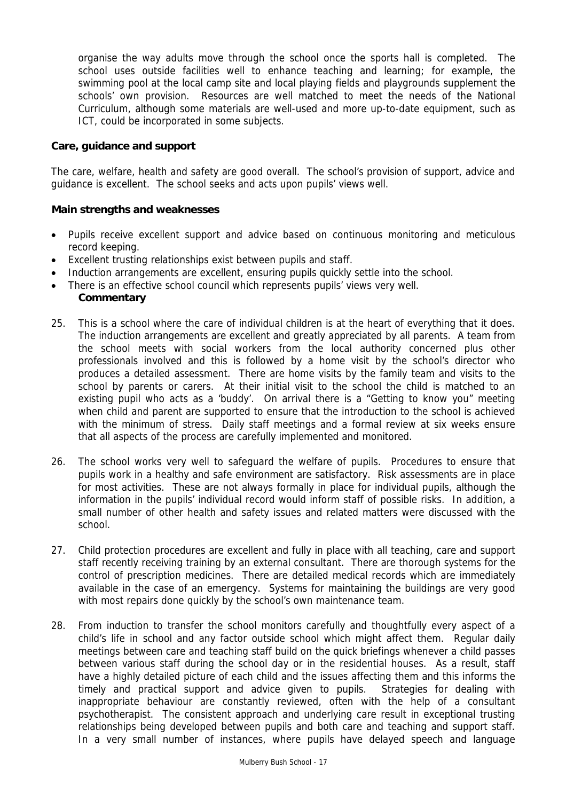organise the way adults move through the school once the sports hall is completed. The school uses outside facilities well to enhance teaching and learning; for example, the swimming pool at the local camp site and local playing fields and playgrounds supplement the schools' own provision. Resources are well matched to meet the needs of the National Curriculum, although some materials are well-used and more up-to-date equipment, such as ICT, could be incorporated in some subjects.

# **Care, guidance and support**

The care, welfare, health and safety are good overall. The school's provision of support, advice and guidance is excellent. The school seeks and acts upon pupils' views well.

## **Main strengths and weaknesses**

- Pupils receive excellent support and advice based on continuous monitoring and meticulous record keeping.
- Excellent trusting relationships exist between pupils and staff.
- Induction arrangements are excellent, ensuring pupils quickly settle into the school.
- There is an effective school council which represents pupils' views very well.
- **Commentary**
- 25. This is a school where the care of individual children is at the heart of everything that it does. The induction arrangements are excellent and greatly appreciated by all parents. A team from the school meets with social workers from the local authority concerned plus other professionals involved and this is followed by a home visit by the school's director who produces a detailed assessment. There are home visits by the family team and visits to the school by parents or carers. At their initial visit to the school the child is matched to an existing pupil who acts as a 'buddy'. On arrival there is a "Getting to know you" meeting when child and parent are supported to ensure that the introduction to the school is achieved with the minimum of stress. Daily staff meetings and a formal review at six weeks ensure that all aspects of the process are carefully implemented and monitored.
- 26. The school works very well to safeguard the welfare of pupils. Procedures to ensure that pupils work in a healthy and safe environment are satisfactory. Risk assessments are in place for most activities. These are not always formally in place for individual pupils, although the information in the pupils' individual record would inform staff of possible risks. In addition, a small number of other health and safety issues and related matters were discussed with the school.
- 27. Child protection procedures are excellent and fully in place with all teaching, care and support staff recently receiving training by an external consultant. There are thorough systems for the control of prescription medicines. There are detailed medical records which are immediately available in the case of an emergency. Systems for maintaining the buildings are very good with most repairs done quickly by the school's own maintenance team.
- 28. From induction to transfer the school monitors carefully and thoughtfully every aspect of a child's life in school and any factor outside school which might affect them. Regular daily meetings between care and teaching staff build on the quick briefings whenever a child passes between various staff during the school day or in the residential houses. As a result, staff have a highly detailed picture of each child and the issues affecting them and this informs the timely and practical support and advice given to pupils. Strategies for dealing with inappropriate behaviour are constantly reviewed, often with the help of a consultant psychotherapist. The consistent approach and underlying care result in exceptional trusting relationships being developed between pupils and both care and teaching and support staff. In a very small number of instances, where pupils have delayed speech and language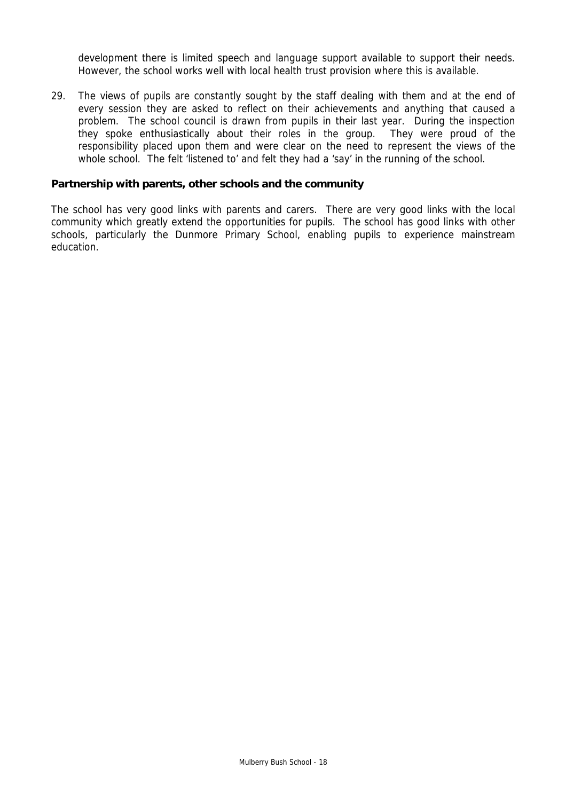development there is limited speech and language support available to support their needs. However, the school works well with local health trust provision where this is available.

29. The views of pupils are constantly sought by the staff dealing with them and at the end of every session they are asked to reflect on their achievements and anything that caused a problem. The school council is drawn from pupils in their last year. During the inspection they spoke enthusiastically about their roles in the group. They were proud of the responsibility placed upon them and were clear on the need to represent the views of the whole school. The felt 'listened to' and felt they had a 'say' in the running of the school.

#### **Partnership with parents, other schools and the community**

The school has very good links with parents and carers. There are very good links with the local community which greatly extend the opportunities for pupils. The school has good links with other schools, particularly the Dunmore Primary School, enabling pupils to experience mainstream education.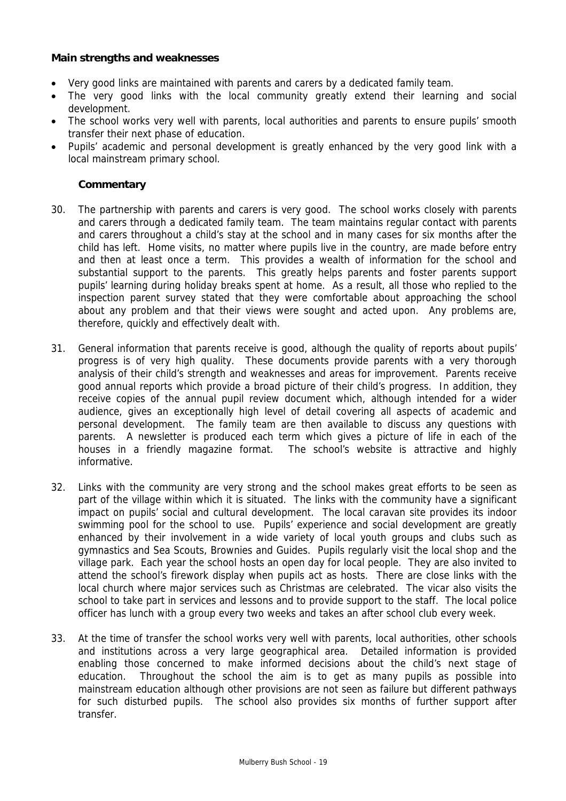## **Main strengths and weaknesses**

- Very good links are maintained with parents and carers by a dedicated family team.
- The very good links with the local community greatly extend their learning and social development.
- The school works very well with parents, local authorities and parents to ensure pupils' smooth transfer their next phase of education.
- Pupils' academic and personal development is greatly enhanced by the very good link with a local mainstream primary school.

- 30. The partnership with parents and carers is very good. The school works closely with parents and carers through a dedicated family team. The team maintains regular contact with parents and carers throughout a child's stay at the school and in many cases for six months after the child has left. Home visits, no matter where pupils live in the country, are made before entry and then at least once a term. This provides a wealth of information for the school and substantial support to the parents. This greatly helps parents and foster parents support pupils' learning during holiday breaks spent at home. As a result, all those who replied to the inspection parent survey stated that they were comfortable about approaching the school about any problem and that their views were sought and acted upon. Any problems are, therefore, quickly and effectively dealt with.
- 31. General information that parents receive is good, although the quality of reports about pupils' progress is of very high quality. These documents provide parents with a very thorough analysis of their child's strength and weaknesses and areas for improvement. Parents receive good annual reports which provide a broad picture of their child's progress. In addition, they receive copies of the annual pupil review document which, although intended for a wider audience, gives an exceptionally high level of detail covering all aspects of academic and personal development. The family team are then available to discuss any questions with parents. A newsletter is produced each term which gives a picture of life in each of the houses in a friendly magazine format. The school's website is attractive and highly informative.
- 32. Links with the community are very strong and the school makes great efforts to be seen as part of the village within which it is situated. The links with the community have a significant impact on pupils' social and cultural development. The local caravan site provides its indoor swimming pool for the school to use. Pupils' experience and social development are greatly enhanced by their involvement in a wide variety of local youth groups and clubs such as gymnastics and Sea Scouts, Brownies and Guides. Pupils regularly visit the local shop and the village park. Each year the school hosts an open day for local people. They are also invited to attend the school's firework display when pupils act as hosts. There are close links with the local church where major services such as Christmas are celebrated. The vicar also visits the school to take part in services and lessons and to provide support to the staff. The local police officer has lunch with a group every two weeks and takes an after school club every week.
- 33. At the time of transfer the school works very well with parents, local authorities, other schools and institutions across a very large geographical area. Detailed information is provided enabling those concerned to make informed decisions about the child's next stage of education. Throughout the school the aim is to get as many pupils as possible into mainstream education although other provisions are not seen as failure but different pathways for such disturbed pupils. The school also provides six months of further support after transfer.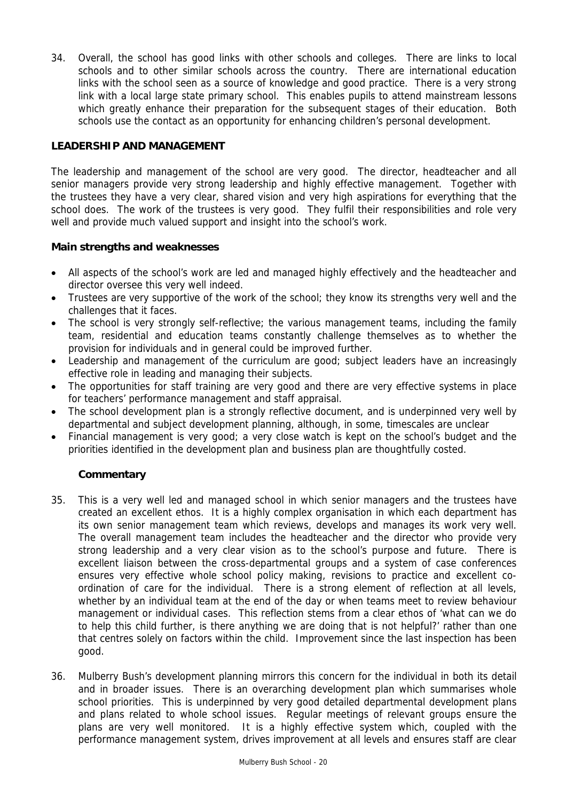34. Overall, the school has good links with other schools and colleges. There are links to local schools and to other similar schools across the country. There are international education links with the school seen as a source of knowledge and good practice. There is a very strong link with a local large state primary school. This enables pupils to attend mainstream lessons which greatly enhance their preparation for the subsequent stages of their education. Both schools use the contact as an opportunity for enhancing children's personal development.

# **LEADERSHIP AND MANAGEMENT**

The leadership and management of the school are very good. The director, headteacher and all senior managers provide very strong leadership and highly effective management. Together with the trustees they have a very clear, shared vision and very high aspirations for everything that the school does. The work of the trustees is very good. They fulfil their responsibilities and role very well and provide much valued support and insight into the school's work.

## **Main strengths and weaknesses**

- All aspects of the school's work are led and managed highly effectively and the headteacher and director oversee this very well indeed.
- Trustees are very supportive of the work of the school; they know its strengths very well and the challenges that it faces.
- The school is very strongly self-reflective; the various management teams, including the family team, residential and education teams constantly challenge themselves as to whether the provision for individuals and in general could be improved further.
- Leadership and management of the curriculum are good; subject leaders have an increasingly effective role in leading and managing their subjects.
- The opportunities for staff training are very good and there are very effective systems in place for teachers' performance management and staff appraisal.
- The school development plan is a strongly reflective document, and is underpinned very well by departmental and subject development planning, although, in some, timescales are unclear
- Financial management is very good; a very close watch is kept on the school's budget and the priorities identified in the development plan and business plan are thoughtfully costed.

- 35. This is a very well led and managed school in which senior managers and the trustees have created an excellent ethos. It is a highly complex organisation in which each department has its own senior management team which reviews, develops and manages its work very well. The overall management team includes the headteacher and the director who provide very strong leadership and a very clear vision as to the school's purpose and future. There is excellent liaison between the cross-departmental groups and a system of case conferences ensures very effective whole school policy making, revisions to practice and excellent coordination of care for the individual. There is a strong element of reflection at all levels, whether by an individual team at the end of the day or when teams meet to review behaviour management or individual cases. This reflection stems from a clear ethos of 'what can we do to help this child further, is there anything we are doing that is not helpful?' rather than one that centres solely on factors within the child. Improvement since the last inspection has been good.
- 36. Mulberry Bush's development planning mirrors this concern for the individual in both its detail and in broader issues. There is an overarching development plan which summarises whole school priorities. This is underpinned by very good detailed departmental development plans and plans related to whole school issues. Regular meetings of relevant groups ensure the plans are very well monitored. It is a highly effective system which, coupled with the performance management system, drives improvement at all levels and ensures staff are clear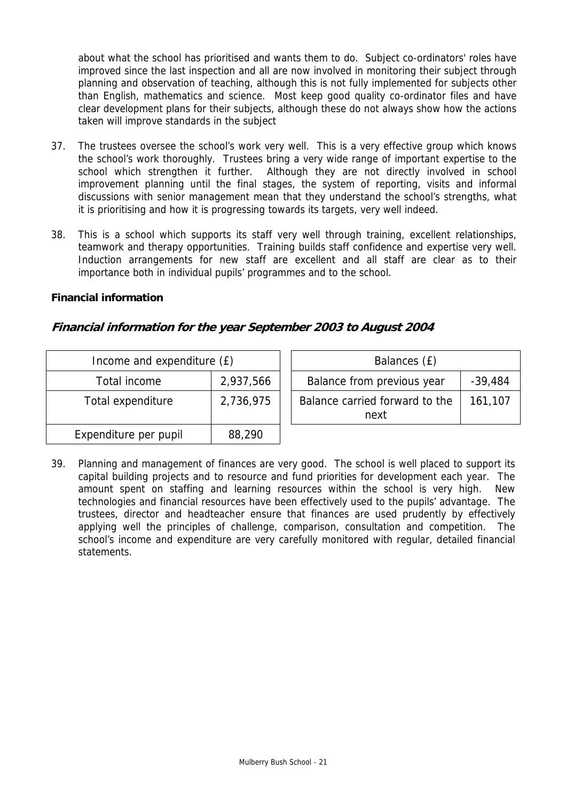about what the school has prioritised and wants them to do. Subject co-ordinators' roles have improved since the last inspection and all are now involved in monitoring their subject through planning and observation of teaching, although this is not fully implemented for subjects other than English, mathematics and science. Most keep good quality co-ordinator files and have clear development plans for their subjects, although these do not always show how the actions taken will improve standards in the subject

- 37. The trustees oversee the school's work very well. This is a very effective group which knows the school's work thoroughly. Trustees bring a very wide range of important expertise to the school which strengthen it further. Although they are not directly involved in school improvement planning until the final stages, the system of reporting, visits and informal discussions with senior management mean that they understand the school's strengths, what it is prioritising and how it is progressing towards its targets, very well indeed.
- 38. This is a school which supports its staff very well through training, excellent relationships, teamwork and therapy opportunities. Training builds staff confidence and expertise very well. Induction arrangements for new staff are excellent and all staff are clear as to their importance both in individual pupils' programmes and to the school.

## **Financial information**

# **Financial information for the year September 2003 to August 2004**

| Income and expenditure (£) |           | Balances (£)                           |           |
|----------------------------|-----------|----------------------------------------|-----------|
| Total income               | 2,937,566 | Balance from previous year             | $-39,484$ |
| Total expenditure          | 2,736,975 | Balance carried forward to the<br>next | 161,107   |
| Expenditure per pupil      | 88,290    |                                        |           |

39. Planning and management of finances are very good. The school is well placed to support its capital building projects and to resource and fund priorities for development each year. The amount spent on staffing and learning resources within the school is very high. New technologies and financial resources have been effectively used to the pupils' advantage. The trustees, director and headteacher ensure that finances are used prudently by effectively applying well the principles of challenge, comparison, consultation and competition. The school's income and expenditure are very carefully monitored with regular, detailed financial statements.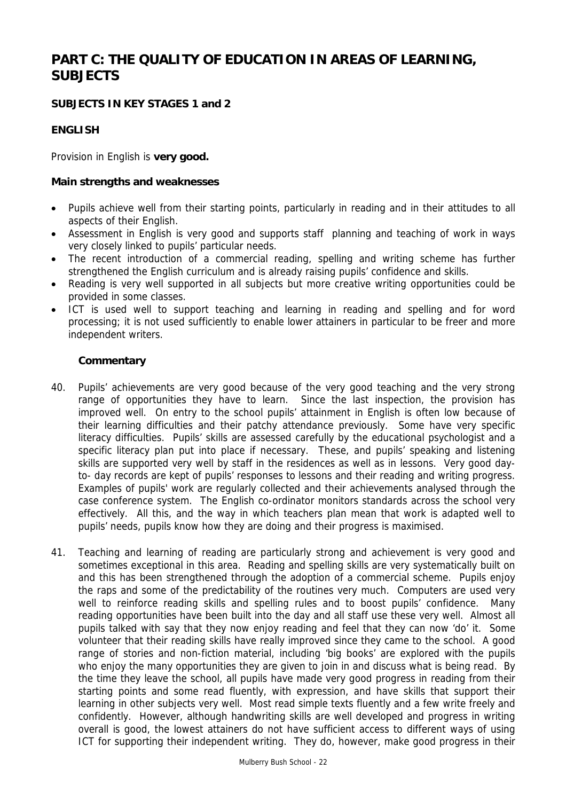# **PART C: THE QUALITY OF EDUCATION IN AREAS OF LEARNING, SUBJECTS**

# **SUBJECTS IN KEY STAGES 1 and 2**

# **ENGLISH**

Provision in English is **very good.**

#### **Main strengths and weaknesses**

- Pupils achieve well from their starting points, particularly in reading and in their attitudes to all aspects of their English.
- Assessment in English is very good and supports staff planning and teaching of work in ways very closely linked to pupils' particular needs.
- The recent introduction of a commercial reading, spelling and writing scheme has further strengthened the English curriculum and is already raising pupils' confidence and skills.
- Reading is very well supported in all subjects but more creative writing opportunities could be provided in some classes.
- ICT is used well to support teaching and learning in reading and spelling and for word processing; it is not used sufficiently to enable lower attainers in particular to be freer and more independent writers.

- 40. Pupils' achievements are very good because of the very good teaching and the very strong range of opportunities they have to learn. Since the last inspection, the provision has improved well. On entry to the school pupils' attainment in English is often low because of their learning difficulties and their patchy attendance previously. Some have very specific literacy difficulties. Pupils' skills are assessed carefully by the educational psychologist and a specific literacy plan put into place if necessary. These, and pupils' speaking and listening skills are supported very well by staff in the residences as well as in lessons. Very good dayto- day records are kept of pupils' responses to lessons and their reading and writing progress. Examples of pupils' work are regularly collected and their achievements analysed through the case conference system. The English co-ordinator monitors standards across the school very effectively. All this, and the way in which teachers plan mean that work is adapted well to pupils' needs, pupils know how they are doing and their progress is maximised.
- 41. Teaching and learning of reading are particularly strong and achievement is very good and sometimes exceptional in this area. Reading and spelling skills are very systematically built on and this has been strengthened through the adoption of a commercial scheme. Pupils enjoy the raps and some of the predictability of the routines very much. Computers are used very well to reinforce reading skills and spelling rules and to boost pupils' confidence. Many reading opportunities have been built into the day and all staff use these very well. Almost all pupils talked with say that they now enjoy reading and feel that they can now 'do' it. Some volunteer that their reading skills have really improved since they came to the school. A good range of stories and non-fiction material, including 'big books' are explored with the pupils who enjoy the many opportunities they are given to join in and discuss what is being read. By the time they leave the school, all pupils have made very good progress in reading from their starting points and some read fluently, with expression, and have skills that support their learning in other subjects very well. Most read simple texts fluently and a few write freely and confidently. However, although handwriting skills are well developed and progress in writing overall is good, the lowest attainers do not have sufficient access to different ways of using ICT for supporting their independent writing. They do, however, make good progress in their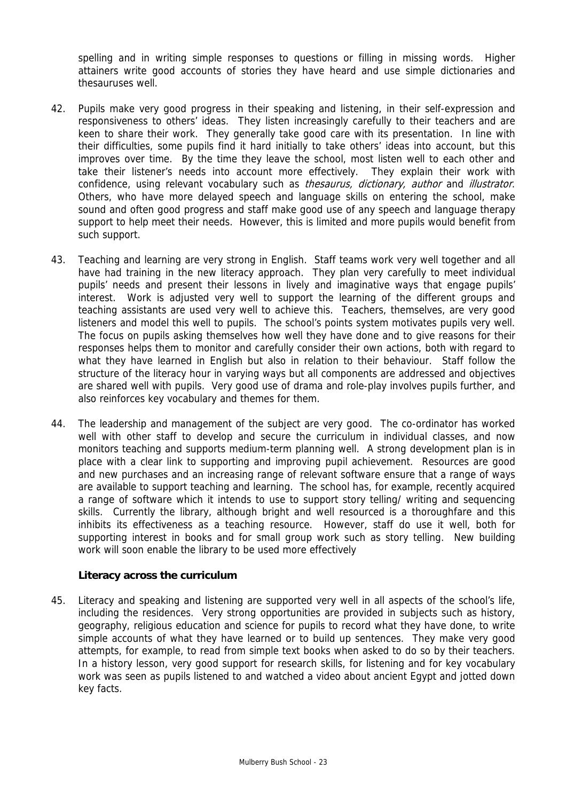spelling and in writing simple responses to questions or filling in missing words. Higher attainers write good accounts of stories they have heard and use simple dictionaries and thesauruses well.

- 42. Pupils make very good progress in their speaking and listening, in their self-expression and responsiveness to others' ideas. They listen increasingly carefully to their teachers and are keen to share their work. They generally take good care with its presentation. In line with their difficulties, some pupils find it hard initially to take others' ideas into account, but this improves over time. By the time they leave the school, most listen well to each other and take their listener's needs into account more effectively. They explain their work with confidence, using relevant vocabulary such as *thesaurus, dictionary, author* and *illustrator*. Others, who have more delayed speech and language skills on entering the school, make sound and often good progress and staff make good use of any speech and language therapy support to help meet their needs. However, this is limited and more pupils would benefit from such support.
- 43. Teaching and learning are very strong in English. Staff teams work very well together and all have had training in the new literacy approach. They plan very carefully to meet individual pupils' needs and present their lessons in lively and imaginative ways that engage pupils' interest. Work is adjusted very well to support the learning of the different groups and teaching assistants are used very well to achieve this. Teachers, themselves, are very good listeners and model this well to pupils. The school's points system motivates pupils very well. The focus on pupils asking themselves how well they have done and to give reasons for their responses helps them to monitor and carefully consider their own actions, both with regard to what they have learned in English but also in relation to their behaviour. Staff follow the structure of the literacy hour in varying ways but all components are addressed and objectives are shared well with pupils. Very good use of drama and role-play involves pupils further, and also reinforces key vocabulary and themes for them.
- 44. The leadership and management of the subject are very good. The co-ordinator has worked well with other staff to develop and secure the curriculum in individual classes, and now monitors teaching and supports medium-term planning well. A strong development plan is in place with a clear link to supporting and improving pupil achievement. Resources are good and new purchases and an increasing range of relevant software ensure that a range of ways are available to support teaching and learning. The school has, for example, recently acquired a range of software which it intends to use to support story telling/ writing and sequencing skills. Currently the library, although bright and well resourced is a thoroughfare and this inhibits its effectiveness as a teaching resource. However, staff do use it well, both for supporting interest in books and for small group work such as story telling. New building work will soon enable the library to be used more effectively

#### **Literacy across the curriculum**

45. Literacy and speaking and listening are supported very well in all aspects of the school's life, including the residences. Very strong opportunities are provided in subjects such as history, geography, religious education and science for pupils to record what they have done, to write simple accounts of what they have learned or to build up sentences. They make very good attempts, for example, to read from simple text books when asked to do so by their teachers. In a history lesson, very good support for research skills, for listening and for key vocabulary work was seen as pupils listened to and watched a video about ancient Egypt and jotted down key facts.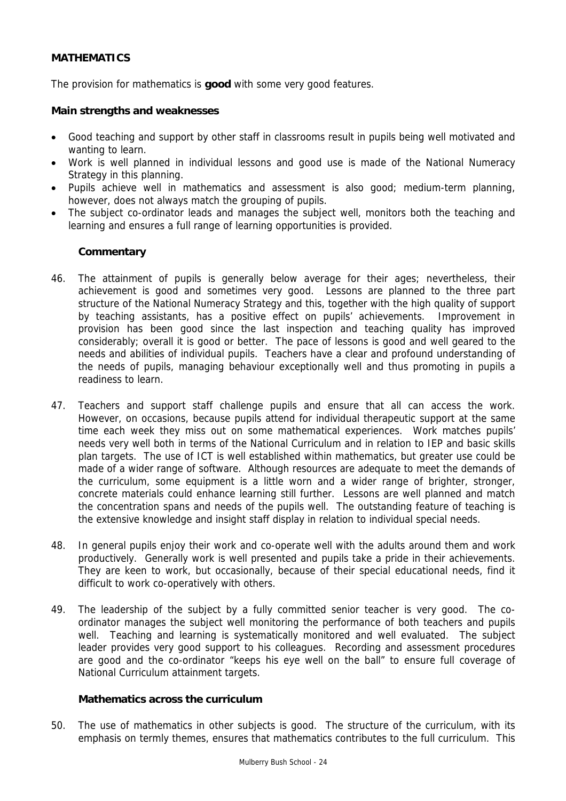# **MATHEMATICS**

The provision for mathematics is **good** with some very good features.

#### **Main strengths and weaknesses**

- Good teaching and support by other staff in classrooms result in pupils being well motivated and wanting to learn.
- Work is well planned in individual lessons and good use is made of the National Numeracy Strategy in this planning.
- Pupils achieve well in mathematics and assessment is also good; medium-term planning, however, does not always match the grouping of pupils.
- The subject co-ordinator leads and manages the subject well, monitors both the teaching and learning and ensures a full range of learning opportunities is provided.

## **Commentary**

- 46. The attainment of pupils is generally below average for their ages; nevertheless, their achievement is good and sometimes very good. Lessons are planned to the three part structure of the National Numeracy Strategy and this, together with the high quality of support by teaching assistants, has a positive effect on pupils' achievements. Improvement in provision has been good since the last inspection and teaching quality has improved considerably; overall it is good or better. The pace of lessons is good and well geared to the needs and abilities of individual pupils. Teachers have a clear and profound understanding of the needs of pupils, managing behaviour exceptionally well and thus promoting in pupils a readiness to learn.
- 47. Teachers and support staff challenge pupils and ensure that all can access the work. However, on occasions, because pupils attend for individual therapeutic support at the same time each week they miss out on some mathematical experiences. Work matches pupils' needs very well both in terms of the National Curriculum and in relation to IEP and basic skills plan targets. The use of ICT is well established within mathematics, but greater use could be made of a wider range of software. Although resources are adequate to meet the demands of the curriculum, some equipment is a little worn and a wider range of brighter, stronger, concrete materials could enhance learning still further. Lessons are well planned and match the concentration spans and needs of the pupils well. The outstanding feature of teaching is the extensive knowledge and insight staff display in relation to individual special needs.
- 48. In general pupils enjoy their work and co-operate well with the adults around them and work productively. Generally work is well presented and pupils take a pride in their achievements. They are keen to work, but occasionally, because of their special educational needs, find it difficult to work co-operatively with others.
- 49. The leadership of the subject by a fully committed senior teacher is very good. The coordinator manages the subject well monitoring the performance of both teachers and pupils well. Teaching and learning is systematically monitored and well evaluated. The subject leader provides very good support to his colleagues. Recording and assessment procedures are good and the co-ordinator "keeps his eye well on the ball" to ensure full coverage of National Curriculum attainment targets.

#### **Mathematics across the curriculum**

50. The use of mathematics in other subjects is good. The structure of the curriculum, with its emphasis on termly themes, ensures that mathematics contributes to the full curriculum. This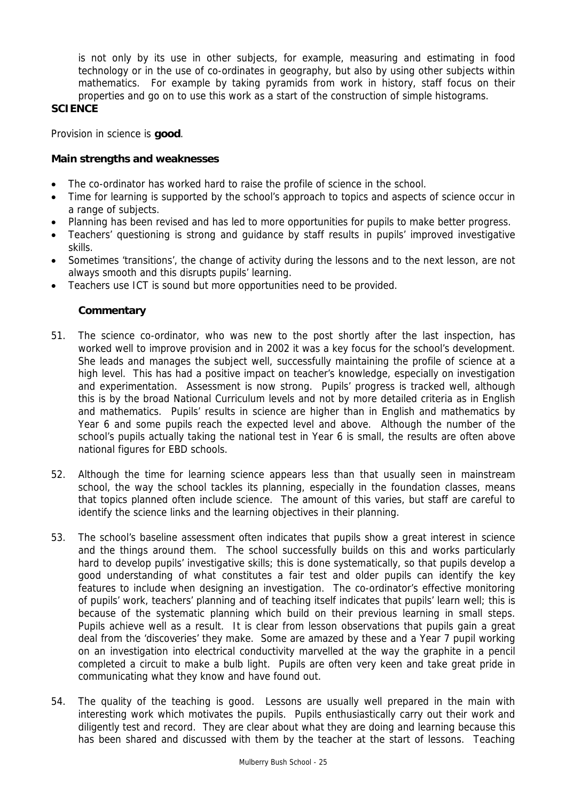is not only by its use in other subjects, for example, measuring and estimating in food technology or in the use of co-ordinates in geography, but also by using other subjects within mathematics. For example by taking pyramids from work in history, staff focus on their properties and go on to use this work as a start of the construction of simple histograms.

# **SCIENCE**

Provision in science is **good**.

# **Main strengths and weaknesses**

- The co-ordinator has worked hard to raise the profile of science in the school.
- Time for learning is supported by the school's approach to topics and aspects of science occur in a range of subjects.
- Planning has been revised and has led to more opportunities for pupils to make better progress.
- Teachers' questioning is strong and guidance by staff results in pupils' improved investigative skills.
- Sometimes 'transitions', the change of activity during the lessons and to the next lesson, are not always smooth and this disrupts pupils' learning.
- Teachers use ICT is sound but more opportunities need to be provided.

- 51. The science co-ordinator, who was new to the post shortly after the last inspection, has worked well to improve provision and in 2002 it was a key focus for the school's development. She leads and manages the subject well, successfully maintaining the profile of science at a high level. This has had a positive impact on teacher's knowledge, especially on investigation and experimentation. Assessment is now strong. Pupils' progress is tracked well, although this is by the broad National Curriculum levels and not by more detailed criteria as in English and mathematics. Pupils' results in science are higher than in English and mathematics by Year 6 and some pupils reach the expected level and above. Although the number of the school's pupils actually taking the national test in Year 6 is small, the results are often above national figures for EBD schools.
- 52. Although the time for learning science appears less than that usually seen in mainstream school, the way the school tackles its planning, especially in the foundation classes, means that topics planned often include science. The amount of this varies, but staff are careful to identify the science links and the learning objectives in their planning.
- 53. The school's baseline assessment often indicates that pupils show a great interest in science and the things around them. The school successfully builds on this and works particularly hard to develop pupils' investigative skills; this is done systematically, so that pupils develop a good understanding of what constitutes a fair test and older pupils can identify the key features to include when designing an investigation. The co-ordinator's effective monitoring of pupils' work, teachers' planning and of teaching itself indicates that pupils' learn well; this is because of the systematic planning which build on their previous learning in small steps. Pupils achieve well as a result. It is clear from lesson observations that pupils gain a great deal from the 'discoveries' they make. Some are amazed by these and a Year 7 pupil working on an investigation into electrical conductivity marvelled at the way the graphite in a pencil completed a circuit to make a bulb light. Pupils are often very keen and take great pride in communicating what they know and have found out.
- 54. The quality of the teaching is good. Lessons are usually well prepared in the main with interesting work which motivates the pupils. Pupils enthusiastically carry out their work and diligently test and record. They are clear about what they are doing and learning because this has been shared and discussed with them by the teacher at the start of lessons. Teaching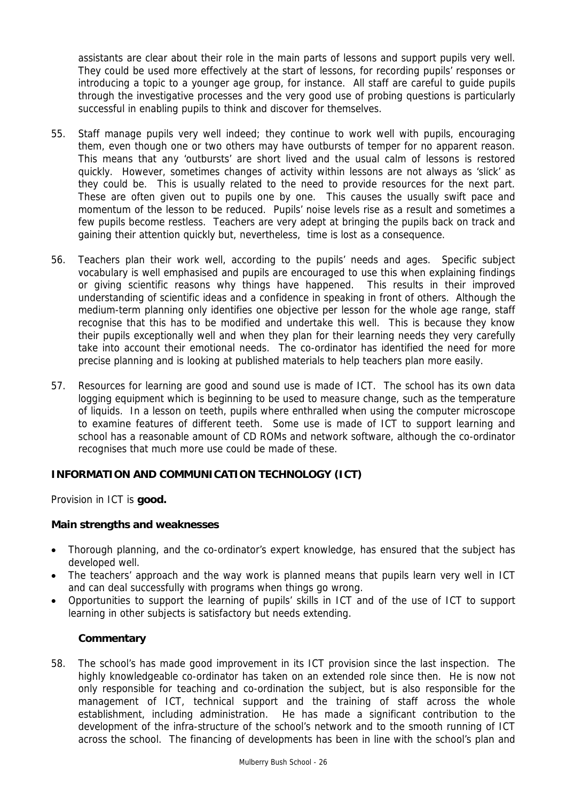assistants are clear about their role in the main parts of lessons and support pupils very well. They could be used more effectively at the start of lessons, for recording pupils' responses or introducing a topic to a younger age group, for instance. All staff are careful to guide pupils through the investigative processes and the very good use of probing questions is particularly successful in enabling pupils to think and discover for themselves.

- 55. Staff manage pupils very well indeed; they continue to work well with pupils, encouraging them, even though one or two others may have outbursts of temper for no apparent reason. This means that any 'outbursts' are short lived and the usual calm of lessons is restored quickly. However, sometimes changes of activity within lessons are not always as 'slick' as they could be. This is usually related to the need to provide resources for the next part. These are often given out to pupils one by one. This causes the usually swift pace and momentum of the lesson to be reduced. Pupils' noise levels rise as a result and sometimes a few pupils become restless. Teachers are very adept at bringing the pupils back on track and gaining their attention quickly but, nevertheless, time is lost as a consequence.
- 56. Teachers plan their work well, according to the pupils' needs and ages. Specific subject vocabulary is well emphasised and pupils are encouraged to use this when explaining findings or giving scientific reasons why things have happened. This results in their improved understanding of scientific ideas and a confidence in speaking in front of others. Although the medium-term planning only identifies one objective per lesson for the whole age range, staff recognise that this has to be modified and undertake this well. This is because they know their pupils exceptionally well and when they plan for their learning needs they very carefully take into account their emotional needs. The co-ordinator has identified the need for more precise planning and is looking at published materials to help teachers plan more easily.
- 57. Resources for learning are good and sound use is made of ICT. The school has its own data logging equipment which is beginning to be used to measure change, such as the temperature of liquids. In a lesson on teeth, pupils where enthralled when using the computer microscope to examine features of different teeth. Some use is made of ICT to support learning and school has a reasonable amount of CD ROMs and network software, although the co-ordinator recognises that much more use could be made of these.

# **INFORMATION AND COMMUNICATION TECHNOLOGY (ICT)**

Provision in ICT is **good.**

## **Main strengths and weaknesses**

- Thorough planning, and the co-ordinator's expert knowledge, has ensured that the subject has developed well.
- The teachers' approach and the way work is planned means that pupils learn very well in ICT and can deal successfully with programs when things go wrong.
- Opportunities to support the learning of pupils' skills in ICT and of the use of ICT to support learning in other subjects is satisfactory but needs extending.

## **Commentary**

58. The school's has made good improvement in its ICT provision since the last inspection. The highly knowledgeable co-ordinator has taken on an extended role since then. He is now not only responsible for teaching and co-ordination the subject, but is also responsible for the management of ICT, technical support and the training of staff across the whole establishment, including administration. He has made a significant contribution to the development of the infra-structure of the school's network and to the smooth running of ICT across the school. The financing of developments has been in line with the school's plan and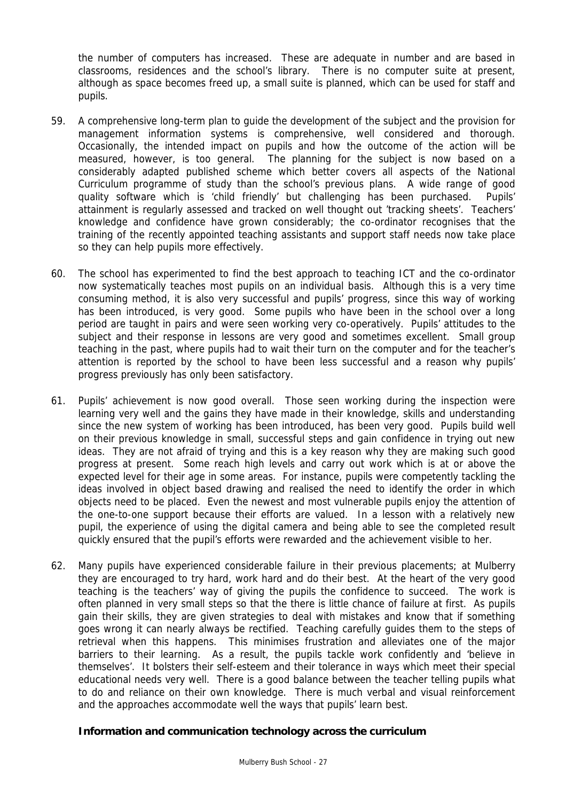the number of computers has increased. These are adequate in number and are based in classrooms, residences and the school's library. There is no computer suite at present, although as space becomes freed up, a small suite is planned, which can be used for staff and pupils.

- 59. A comprehensive long-term plan to guide the development of the subject and the provision for management information systems is comprehensive, well considered and thorough. Occasionally, the intended impact on pupils and how the outcome of the action will be measured, however, is too general. The planning for the subject is now based on a considerably adapted published scheme which better covers all aspects of the National Curriculum programme of study than the school's previous plans. A wide range of good quality software which is 'child friendly' but challenging has been purchased. Pupils' attainment is regularly assessed and tracked on well thought out 'tracking sheets'. Teachers' knowledge and confidence have grown considerably; the co-ordinator recognises that the training of the recently appointed teaching assistants and support staff needs now take place so they can help pupils more effectively.
- 60. The school has experimented to find the best approach to teaching ICT and the co-ordinator now systematically teaches most pupils on an individual basis. Although this is a very time consuming method, it is also very successful and pupils' progress, since this way of working has been introduced, is very good. Some pupils who have been in the school over a long period are taught in pairs and were seen working very co-operatively. Pupils' attitudes to the subject and their response in lessons are very good and sometimes excellent. Small group teaching in the past, where pupils had to wait their turn on the computer and for the teacher's attention is reported by the school to have been less successful and a reason why pupils' progress previously has only been satisfactory.
- 61. Pupils' achievement is now good overall. Those seen working during the inspection were learning very well and the gains they have made in their knowledge, skills and understanding since the new system of working has been introduced, has been very good. Pupils build well on their previous knowledge in small, successful steps and gain confidence in trying out new ideas. They are not afraid of trying and this is a key reason why they are making such good progress at present. Some reach high levels and carry out work which is at or above the expected level for their age in some areas. For instance, pupils were competently tackling the ideas involved in object based drawing and realised the need to identify the order in which objects need to be placed. Even the newest and most vulnerable pupils enjoy the attention of the one-to-one support because their efforts are valued. In a lesson with a relatively new pupil, the experience of using the digital camera and being able to see the completed result quickly ensured that the pupil's efforts were rewarded and the achievement visible to her.
- 62. Many pupils have experienced considerable failure in their previous placements; at Mulberry they are encouraged to try hard, work hard and do their best. At the heart of the very good teaching is the teachers' way of giving the pupils the confidence to succeed. The work is often planned in very small steps so that the there is little chance of failure at first. As pupils gain their skills, they are given strategies to deal with mistakes and know that if something goes wrong it can nearly always be rectified. Teaching carefully guides them to the steps of retrieval when this happens. This minimises frustration and alleviates one of the major barriers to their learning. As a result, the pupils tackle work confidently and 'believe in themselves'. It bolsters their self-esteem and their tolerance in ways which meet their special educational needs very well. There is a good balance between the teacher telling pupils what to do and reliance on their own knowledge. There is much verbal and visual reinforcement and the approaches accommodate well the ways that pupils' learn best.

## **Information and communication technology across the curriculum**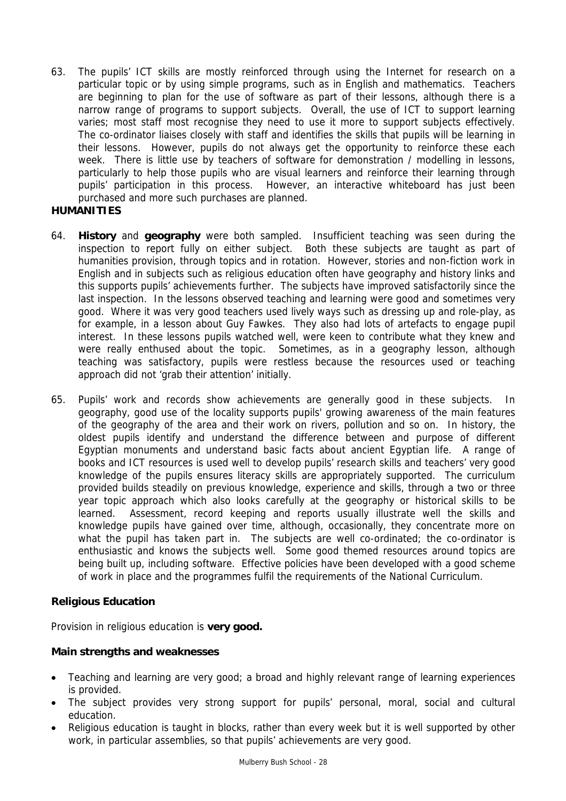63. The pupils' ICT skills are mostly reinforced through using the Internet for research on a particular topic or by using simple programs, such as in English and mathematics. Teachers are beginning to plan for the use of software as part of their lessons, although there is a narrow range of programs to support subjects. Overall, the use of ICT to support learning varies; most staff most recognise they need to use it more to support subjects effectively. The co-ordinator liaises closely with staff and identifies the skills that pupils will be learning in their lessons. However, pupils do not always get the opportunity to reinforce these each week. There is little use by teachers of software for demonstration / modelling in lessons, particularly to help those pupils who are visual learners and reinforce their learning through pupils' participation in this process. However, an interactive whiteboard has just been purchased and more such purchases are planned.

# **HUMANITIES**

- 64. **History** and **geography** were both sampled. Insufficient teaching was seen during the inspection to report fully on either subject. Both these subjects are taught as part of humanities provision, through topics and in rotation. However, stories and non-fiction work in English and in subjects such as religious education often have geography and history links and this supports pupils' achievements further. The subjects have improved satisfactorily since the last inspection. In the lessons observed teaching and learning were good and sometimes very good. Where it was very good teachers used lively ways such as dressing up and role-play, as for example, in a lesson about Guy Fawkes. They also had lots of artefacts to engage pupil interest. In these lessons pupils watched well, were keen to contribute what they knew and were really enthused about the topic. Sometimes, as in a geography lesson, although teaching was satisfactory, pupils were restless because the resources used or teaching approach did not 'grab their attention' initially.
- 65. Pupils' work and records show achievements are generally good in these subjects. In geography, good use of the locality supports pupils' growing awareness of the main features of the geography of the area and their work on rivers, pollution and so on. In history, the oldest pupils identify and understand the difference between and purpose of different Egyptian monuments and understand basic facts about ancient Egyptian life. A range of books and ICT resources is used well to develop pupils' research skills and teachers' very good knowledge of the pupils ensures literacy skills are appropriately supported. The curriculum provided builds steadily on previous knowledge, experience and skills, through a two or three year topic approach which also looks carefully at the geography or historical skills to be learned. Assessment, record keeping and reports usually illustrate well the skills and knowledge pupils have gained over time, although, occasionally, they concentrate more on what the pupil has taken part in. The subjects are well co-ordinated; the co-ordinator is enthusiastic and knows the subjects well. Some good themed resources around topics are being built up, including software. Effective policies have been developed with a good scheme of work in place and the programmes fulfil the requirements of the National Curriculum.

# **Religious Education**

Provision in religious education is **very good.** 

## **Main strengths and weaknesses**

- Teaching and learning are very good; a broad and highly relevant range of learning experiences is provided.
- The subject provides very strong support for pupils' personal, moral, social and cultural education.
- Religious education is taught in blocks, rather than every week but it is well supported by other work, in particular assemblies, so that pupils' achievements are very good.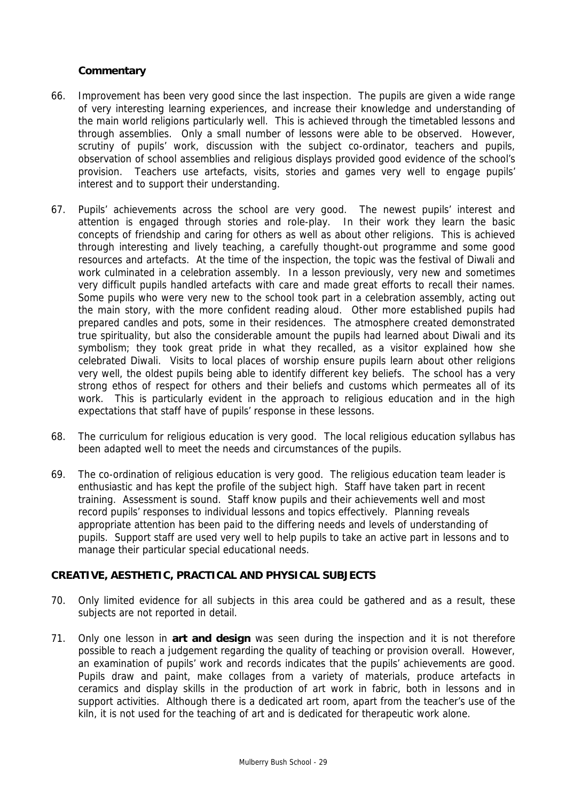## **Commentary**

- 66. Improvement has been very good since the last inspection. The pupils are given a wide range of very interesting learning experiences, and increase their knowledge and understanding of the main world religions particularly well. This is achieved through the timetabled lessons and through assemblies. Only a small number of lessons were able to be observed. However, scrutiny of pupils' work, discussion with the subject co-ordinator, teachers and pupils, observation of school assemblies and religious displays provided good evidence of the school's provision. Teachers use artefacts, visits, stories and games very well to engage pupils' interest and to support their understanding.
- 67. Pupils' achievements across the school are very good. The newest pupils' interest and attention is engaged through stories and role-play. In their work they learn the basic concepts of friendship and caring for others as well as about other religions. This is achieved through interesting and lively teaching, a carefully thought-out programme and some good resources and artefacts. At the time of the inspection, the topic was the festival of Diwali and work culminated in a celebration assembly. In a lesson previously, very new and sometimes very difficult pupils handled artefacts with care and made great efforts to recall their names. Some pupils who were very new to the school took part in a celebration assembly, acting out the main story, with the more confident reading aloud. Other more established pupils had prepared candles and pots, some in their residences. The atmosphere created demonstrated true spirituality, but also the considerable amount the pupils had learned about Diwali and its symbolism; they took great pride in what they recalled, as a visitor explained how she celebrated Diwali. Visits to local places of worship ensure pupils learn about other religions very well, the oldest pupils being able to identify different key beliefs. The school has a very strong ethos of respect for others and their beliefs and customs which permeates all of its work. This is particularly evident in the approach to religious education and in the high expectations that staff have of pupils' response in these lessons.
- 68. The curriculum for religious education is very good. The local religious education syllabus has been adapted well to meet the needs and circumstances of the pupils.
- 69. The co-ordination of religious education is very good. The religious education team leader is enthusiastic and has kept the profile of the subject high. Staff have taken part in recent training. Assessment is sound. Staff know pupils and their achievements well and most record pupils' responses to individual lessons and topics effectively. Planning reveals appropriate attention has been paid to the differing needs and levels of understanding of pupils. Support staff are used very well to help pupils to take an active part in lessons and to manage their particular special educational needs.

#### **CREATIVE, AESTHETIC, PRACTICAL AND PHYSICAL SUBJECTS**

- 70. Only limited evidence for all subjects in this area could be gathered and as a result, these subjects are not reported in detail.
- 71. Only one lesson in **art and design** was seen during the inspection and it is not therefore possible to reach a judgement regarding the quality of teaching or provision overall. However, an examination of pupils' work and records indicates that the pupils' achievements are good. Pupils draw and paint, make collages from a variety of materials, produce artefacts in ceramics and display skills in the production of art work in fabric, both in lessons and in support activities. Although there is a dedicated art room, apart from the teacher's use of the kiln, it is not used for the teaching of art and is dedicated for therapeutic work alone.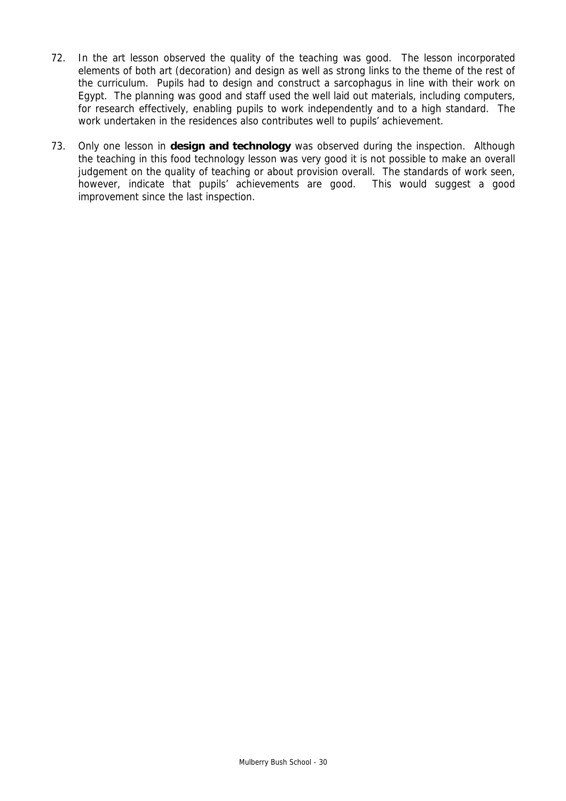- 72. In the art lesson observed the quality of the teaching was good. The lesson incorporated elements of both art (decoration) and design as well as strong links to the theme of the rest of the curriculum. Pupils had to design and construct a sarcophagus in line with their work on Egypt. The planning was good and staff used the well laid out materials, including computers, for research effectively, enabling pupils to work independently and to a high standard. The work undertaken in the residences also contributes well to pupils' achievement.
- 73. Only one lesson in **design and technology** was observed during the inspection. Although the teaching in this food technology lesson was very good it is not possible to make an overall judgement on the quality of teaching or about provision overall. The standards of work seen, however, indicate that pupils' achievements are good. This would suggest a good improvement since the last inspection.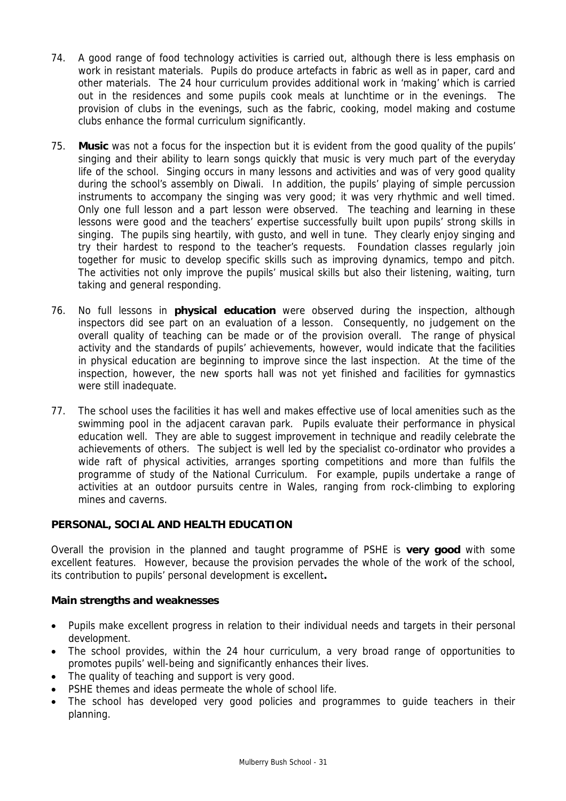- 74. A good range of food technology activities is carried out, although there is less emphasis on work in resistant materials. Pupils do produce artefacts in fabric as well as in paper, card and other materials. The 24 hour curriculum provides additional work in 'making' which is carried out in the residences and some pupils cook meals at lunchtime or in the evenings. The provision of clubs in the evenings, such as the fabric, cooking, model making and costume clubs enhance the formal curriculum significantly.
- 75. **Music** was not a focus for the inspection but it is evident from the good quality of the pupils' singing and their ability to learn songs quickly that music is very much part of the everyday life of the school. Singing occurs in many lessons and activities and was of very good quality during the school's assembly on Diwali. In addition, the pupils' playing of simple percussion instruments to accompany the singing was very good; it was very rhythmic and well timed. Only one full lesson and a part lesson were observed. The teaching and learning in these lessons were good and the teachers' expertise successfully built upon pupils' strong skills in singing. The pupils sing heartily, with gusto, and well in tune. They clearly enjoy singing and try their hardest to respond to the teacher's requests. Foundation classes regularly join together for music to develop specific skills such as improving dynamics, tempo and pitch. The activities not only improve the pupils' musical skills but also their listening, waiting, turn taking and general responding.
- 76. No full lessons in **physical education** were observed during the inspection, although inspectors did see part on an evaluation of a lesson. Consequently, no judgement on the overall quality of teaching can be made or of the provision overall. The range of physical activity and the standards of pupils' achievements, however, would indicate that the facilities in physical education are beginning to improve since the last inspection. At the time of the inspection, however, the new sports hall was not yet finished and facilities for gymnastics were still inadequate.
- 77. The school uses the facilities it has well and makes effective use of local amenities such as the swimming pool in the adjacent caravan park. Pupils evaluate their performance in physical education well. They are able to suggest improvement in technique and readily celebrate the achievements of others. The subject is well led by the specialist co-ordinator who provides a wide raft of physical activities, arranges sporting competitions and more than fulfils the programme of study of the National Curriculum. For example, pupils undertake a range of activities at an outdoor pursuits centre in Wales, ranging from rock-climbing to exploring mines and caverns.

# **PERSONAL, SOCIAL AND HEALTH EDUCATION**

Overall the provision in the planned and taught programme of PSHE is **very good** with some excellent features. However, because the provision pervades the whole of the work of the school, its contribution to pupils' personal development is excellent**.**

## **Main strengths and weaknesses**

- Pupils make excellent progress in relation to their individual needs and targets in their personal development.
- The school provides, within the 24 hour curriculum, a very broad range of opportunities to promotes pupils' well-being and significantly enhances their lives.
- The quality of teaching and support is very good.
- PSHE themes and ideas permeate the whole of school life.
- The school has developed very good policies and programmes to guide teachers in their planning.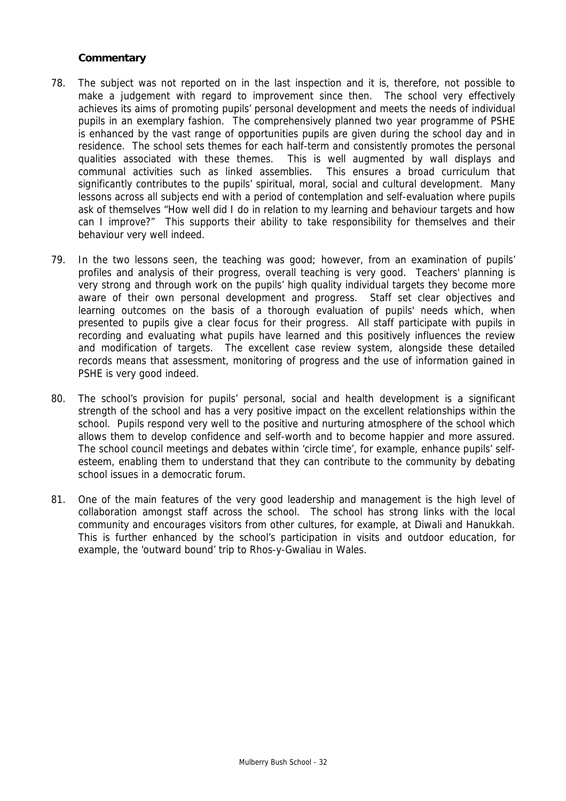- 78. The subject was not reported on in the last inspection and it is, therefore, not possible to make a judgement with regard to improvement since then. The school very effectively achieves its aims of promoting pupils' personal development and meets the needs of individual pupils in an exemplary fashion. The comprehensively planned two year programme of PSHE is enhanced by the vast range of opportunities pupils are given during the school day and in residence. The school sets themes for each half-term and consistently promotes the personal qualities associated with these themes. This is well augmented by wall displays and communal activities such as linked assemblies. This ensures a broad curriculum that significantly contributes to the pupils' spiritual, moral, social and cultural development. Many lessons across all subjects end with a period of contemplation and self-evaluation where pupils ask of themselves "How well did I do in relation to my learning and behaviour targets and how can I improve?" This supports their ability to take responsibility for themselves and their behaviour very well indeed.
- 79. In the two lessons seen, the teaching was good; however, from an examination of pupils' profiles and analysis of their progress, overall teaching is very good. Teachers' planning is very strong and through work on the pupils' high quality individual targets they become more aware of their own personal development and progress. Staff set clear objectives and learning outcomes on the basis of a thorough evaluation of pupils' needs which, when presented to pupils give a clear focus for their progress. All staff participate with pupils in recording and evaluating what pupils have learned and this positively influences the review and modification of targets. The excellent case review system, alongside these detailed records means that assessment, monitoring of progress and the use of information gained in PSHE is very good indeed.
- 80. The school's provision for pupils' personal, social and health development is a significant strength of the school and has a very positive impact on the excellent relationships within the school. Pupils respond very well to the positive and nurturing atmosphere of the school which allows them to develop confidence and self-worth and to become happier and more assured. The school council meetings and debates within 'circle time', for example, enhance pupils' selfesteem, enabling them to understand that they can contribute to the community by debating school issues in a democratic forum.
- 81. One of the main features of the very good leadership and management is the high level of collaboration amongst staff across the school. The school has strong links with the local community and encourages visitors from other cultures, for example, at Diwali and Hanukkah. This is further enhanced by the school's participation in visits and outdoor education, for example, the 'outward bound' trip to Rhos-y-Gwaliau in Wales.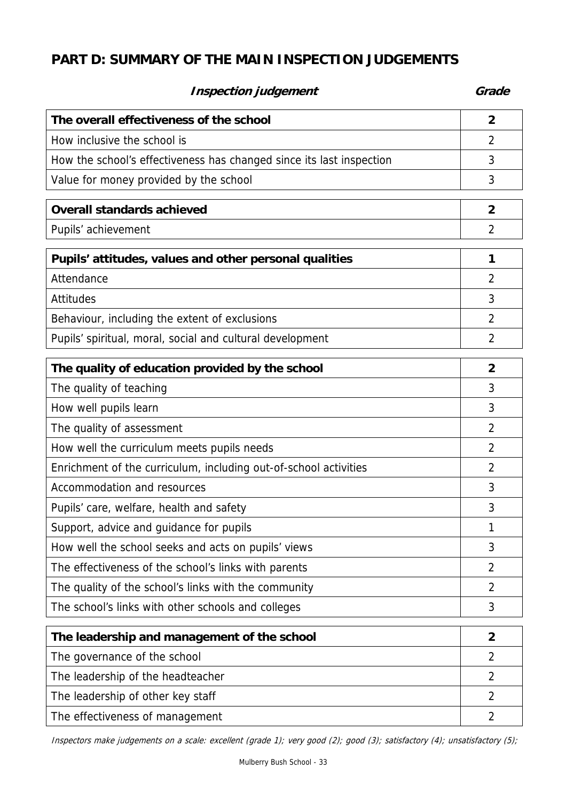# **PART D: SUMMARY OF THE MAIN INSPECTION JUDGEMENTS**

# **Inspection judgement** Grade **Grade**

| The overall effectiveness of the school                              | $\overline{2}$ |
|----------------------------------------------------------------------|----------------|
| How inclusive the school is                                          | 2              |
| How the school's effectiveness has changed since its last inspection | 3              |
| Value for money provided by the school                               | 3              |
| <b>Overall standards achieved</b>                                    | $\overline{2}$ |
| Pupils' achievement                                                  | 2              |
| Pupils' attitudes, values and other personal qualities               | 1              |
| Attendance                                                           | $\overline{2}$ |
| Attitudes                                                            | 3              |
| Behaviour, including the extent of exclusions                        | $\overline{2}$ |
| Pupils' spiritual, moral, social and cultural development            | 2              |
| The quality of education provided by the school                      | $\overline{2}$ |
| The quality of teaching                                              | 3              |
| How well pupils learn                                                | 3              |
| The quality of assessment                                            | $\overline{2}$ |
| How well the curriculum meets pupils needs                           | $\overline{2}$ |
| Enrichment of the curriculum, including out-of-school activities     | $\overline{2}$ |
| Accommodation and resources                                          | 3              |
| Pupils' care, welfare, health and safety                             | 3              |
| Support, advice and guidance for pupils                              | 1              |
| How well the school seeks and acts on pupils' views                  | 3              |
| The effectiveness of the school's links with parents                 | $\overline{2}$ |
| The quality of the school's links with the community                 | $\overline{2}$ |
| The school's links with other schools and colleges                   | 3              |
| The leadership and management of the school                          | $\overline{2}$ |
| The governance of the school                                         | 2              |
| The leadership of the headteacher                                    | 2              |
| The leadership of other key staff                                    | $\overline{2}$ |
| The effectiveness of management                                      | $\overline{2}$ |

Inspectors make judgements on a scale: excellent (grade 1); very good (2); good (3); satisfactory (4); unsatisfactory (5);